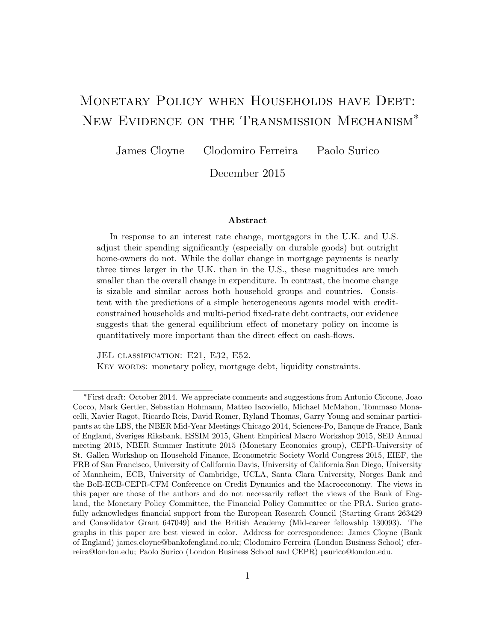# MONETARY POLICY WHEN HOUSEHOLDS HAVE DEBT: New Evidence on the Transmission Mechanism∗

James Cloyne Clodomiro Ferreira Paolo Surico

December 2015

#### Abstract

In response to an interest rate change, mortgagors in the U.K. and U.S. adjust their spending significantly (especially on durable goods) but outright home-owners do not. While the dollar change in mortgage payments is nearly three times larger in the U.K. than in the U.S., these magnitudes are much smaller than the overall change in expenditure. In contrast, the income change is sizable and similar across both household groups and countries. Consistent with the predictions of a simple heterogeneous agents model with creditconstrained households and multi-period fixed-rate debt contracts, our evidence suggests that the general equilibrium effect of monetary policy on income is quantitatively more important than the direct effect on cash-flows.

JEL CLASSIFICATION: E21, E32, E52.

KEY WORDS: monetary policy, mortgage debt, liquidity constraints.

<sup>∗</sup>First draft: October 2014. We appreciate comments and suggestions from Antonio Ciccone, Joao Cocco, Mark Gertler, Sebastian Hohmann, Matteo Iacoviello, Michael McMahon, Tommaso Monacelli, Xavier Ragot, Ricardo Reis, David Romer, Ryland Thomas, Garry Young and seminar participants at the LBS, the NBER Mid-Year Meetings Chicago 2014, Sciences-Po, Banque de France, Bank of England, Sveriges Riksbank, ESSIM 2015, Ghent Empirical Macro Workshop 2015, SED Annual meeting 2015, NBER Summer Institute 2015 (Monetary Economics group), CEPR-University of St. Gallen Workshop on Household Finance, Econometric Society World Congress 2015, EIEF, the FRB of San Francisco, University of California Davis, University of California San Diego, University of Mannheim, ECB, University of Cambridge, UCLA, Santa Clara University, Norges Bank and the BoE-ECB-CEPR-CFM Conference on Credit Dynamics and the Macroeconomy. The views in this paper are those of the authors and do not necessarily reflect the views of the Bank of England, the Monetary Policy Committee, the Financial Policy Committee or the PRA. Surico gratefully acknowledges financial support from the European Research Council (Starting Grant 263429 and Consolidator Grant 647049) and the British Academy (Mid-career fellowship 130093). The graphs in this paper are best viewed in color. Address for correspondence: James Cloyne (Bank of England) james.cloyne@bankofengland.co.uk; Clodomiro Ferreira (London Business School) cferreira@london.edu; Paolo Surico (London Business School and CEPR) psurico@london.edu.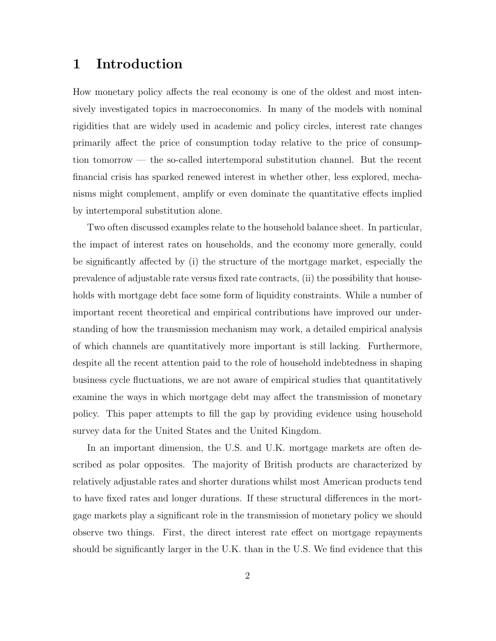## 1 Introduction

How monetary policy affects the real economy is one of the oldest and most intensively investigated topics in macroeconomics. In many of the models with nominal rigidities that are widely used in academic and policy circles, interest rate changes primarily affect the price of consumption today relative to the price of consumption tomorrow — the so-called intertemporal substitution channel. But the recent financial crisis has sparked renewed interest in whether other, less explored, mechanisms might complement, amplify or even dominate the quantitative effects implied by intertemporal substitution alone.

Two often discussed examples relate to the household balance sheet. In particular, the impact of interest rates on households, and the economy more generally, could be significantly affected by (i) the structure of the mortgage market, especially the prevalence of adjustable rate versus fixed rate contracts, (ii) the possibility that households with mortgage debt face some form of liquidity constraints. While a number of important recent theoretical and empirical contributions have improved our understanding of how the transmission mechanism may work, a detailed empirical analysis of which channels are quantitatively more important is still lacking. Furthermore, despite all the recent attention paid to the role of household indebtedness in shaping business cycle fluctuations, we are not aware of empirical studies that quantitatively examine the ways in which mortgage debt may affect the transmission of monetary policy. This paper attempts to fill the gap by providing evidence using household survey data for the United States and the United Kingdom.

In an important dimension, the U.S. and U.K. mortgage markets are often described as polar opposites. The majority of British products are characterized by relatively adjustable rates and shorter durations whilst most American products tend to have fixed rates and longer durations. If these structural differences in the mortgage markets play a significant role in the transmission of monetary policy we should observe two things. First, the direct interest rate effect on mortgage repayments should be significantly larger in the U.K. than in the U.S. We find evidence that this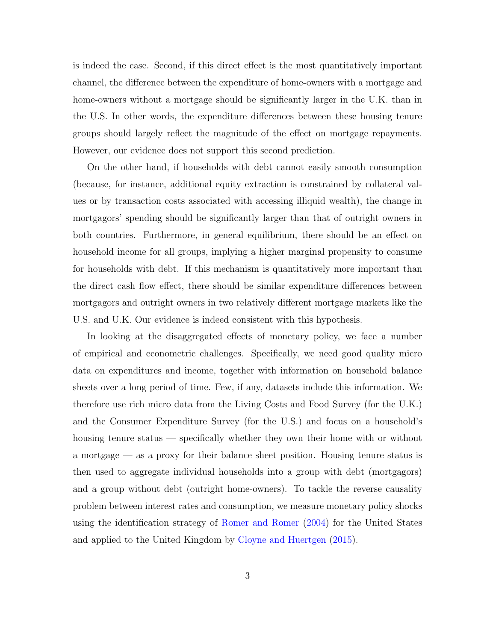is indeed the case. Second, if this direct effect is the most quantitatively important channel, the difference between the expenditure of home-owners with a mortgage and home-owners without a mortgage should be significantly larger in the U.K. than in the U.S. In other words, the expenditure differences between these housing tenure groups should largely reflect the magnitude of the effect on mortgage repayments. However, our evidence does not support this second prediction.

On the other hand, if households with debt cannot easily smooth consumption (because, for instance, additional equity extraction is constrained by collateral values or by transaction costs associated with accessing illiquid wealth), the change in mortgagors' spending should be significantly larger than that of outright owners in both countries. Furthermore, in general equilibrium, there should be an effect on household income for all groups, implying a higher marginal propensity to consume for households with debt. If this mechanism is quantitatively more important than the direct cash flow effect, there should be similar expenditure differences between mortgagors and outright owners in two relatively different mortgage markets like the U.S. and U.K. Our evidence is indeed consistent with this hypothesis.

In looking at the disaggregated effects of monetary policy, we face a number of empirical and econometric challenges. Specifically, we need good quality micro data on expenditures and income, together with information on household balance sheets over a long period of time. Few, if any, datasets include this information. We therefore use rich micro data from the Living Costs and Food Survey (for the U.K.) and the Consumer Expenditure Survey (for the U.S.) and focus on a household's housing tenure status — specifically whether they own their home with or without a mortgage — as a proxy for their balance sheet position. Housing tenure status is then used to aggregate individual households into a group with debt (mortgagors) and a group without debt (outright home-owners). To tackle the reverse causality problem between interest rates and consumption, we measure monetary policy shocks using the identification strategy of [Romer and Romer](#page-41-0) [\(2004\)](#page-41-0) for the United States and applied to the United Kingdom by [Cloyne and Huertgen](#page-40-0) [\(2015\)](#page-40-0).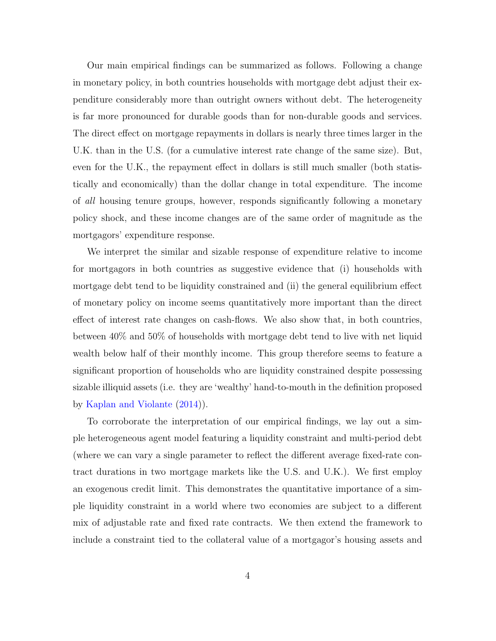Our main empirical findings can be summarized as follows. Following a change in monetary policy, in both countries households with mortgage debt adjust their expenditure considerably more than outright owners without debt. The heterogeneity is far more pronounced for durable goods than for non-durable goods and services. The direct effect on mortgage repayments in dollars is nearly three times larger in the U.K. than in the U.S. (for a cumulative interest rate change of the same size). But, even for the U.K., the repayment effect in dollars is still much smaller (both statistically and economically) than the dollar change in total expenditure. The income of all housing tenure groups, however, responds significantly following a monetary policy shock, and these income changes are of the same order of magnitude as the mortgagors' expenditure response.

We interpret the similar and sizable response of expenditure relative to income for mortgagors in both countries as suggestive evidence that (i) households with mortgage debt tend to be liquidity constrained and (ii) the general equilibrium effect of monetary policy on income seems quantitatively more important than the direct effect of interest rate changes on cash-flows. We also show that, in both countries, between 40% and 50% of households with mortgage debt tend to live with net liquid wealth below half of their monthly income. This group therefore seems to feature a significant proportion of households who are liquidity constrained despite possessing sizable illiquid assets (i.e. they are 'wealthy' hand-to-mouth in the definition proposed by [Kaplan and Violante](#page-41-1) [\(2014\)](#page-41-1)).

To corroborate the interpretation of our empirical findings, we lay out a simple heterogeneous agent model featuring a liquidity constraint and multi-period debt (where we can vary a single parameter to reflect the different average fixed-rate contract durations in two mortgage markets like the U.S. and U.K.). We first employ an exogenous credit limit. This demonstrates the quantitative importance of a simple liquidity constraint in a world where two economies are subject to a different mix of adjustable rate and fixed rate contracts. We then extend the framework to include a constraint tied to the collateral value of a mortgagor's housing assets and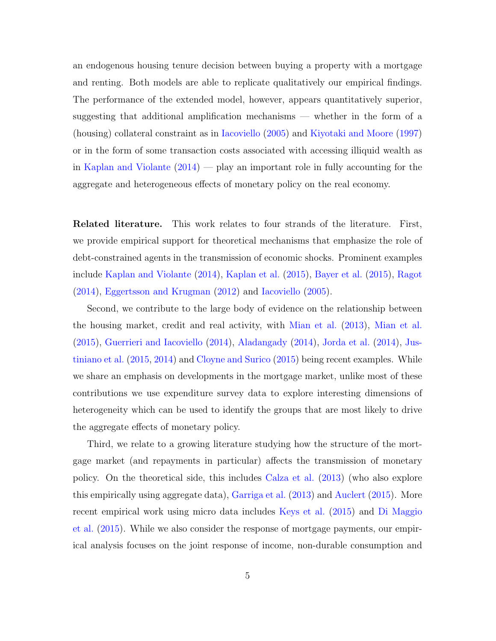an endogenous housing tenure decision between buying a property with a mortgage and renting. Both models are able to replicate qualitatively our empirical findings. The performance of the extended model, however, appears quantitatively superior, suggesting that additional amplification mechanisms — whether in the form of a (housing) collateral constraint as in [Iacoviello](#page-40-1) [\(2005\)](#page-40-1) and [Kiyotaki and Moore](#page-41-2) [\(1997\)](#page-41-2) or in the form of some transaction costs associated with accessing illiquid wealth as in [Kaplan and Violante](#page-41-1) [\(2014\)](#page-41-1) — play an important role in fully accounting for the aggregate and heterogeneous effects of monetary policy on the real economy.

Related literature. This work relates to four strands of the literature. First, we provide empirical support for theoretical mechanisms that emphasize the role of debt-constrained agents in the transmission of economic shocks. Prominent examples include [Kaplan and Violante](#page-41-1) [\(2014\)](#page-41-1), [Kaplan et al.](#page-41-3) [\(2015\)](#page-41-3), [Bayer et al.](#page-39-0) [\(2015\)](#page-39-0), [Ragot](#page-41-4) [\(2014\)](#page-41-4), [Eggertsson and Krugman](#page-40-2) [\(2012\)](#page-40-2) and [Iacoviello](#page-40-1) [\(2005\)](#page-40-1).

Second, we contribute to the large body of evidence on the relationship between the housing market, credit and real activity, with [Mian et al.](#page-41-5) [\(2013\)](#page-41-5), [Mian et al.](#page-41-6) [\(2015\)](#page-41-6), [Guerrieri and Iacoviello](#page-40-3) [\(2014\)](#page-40-3), [Aladangady](#page-39-1) [\(2014\)](#page-39-1), [Jorda et al.](#page-40-4) [\(2014\)](#page-40-4), [Jus](#page-41-7)[tiniano et al.](#page-41-7) [\(2015,](#page-41-7) [2014\)](#page-40-5) and [Cloyne and Surico](#page-40-6) [\(2015\)](#page-40-6) being recent examples. While we share an emphasis on developments in the mortgage market, unlike most of these contributions we use expenditure survey data to explore interesting dimensions of heterogeneity which can be used to identify the groups that are most likely to drive the aggregate effects of monetary policy.

Third, we relate to a growing literature studying how the structure of the mortgage market (and repayments in particular) affects the transmission of monetary policy. On the theoretical side, this includes [Calza et al.](#page-39-2) [\(2013\)](#page-39-2) (who also explore this empirically using aggregate data), [Garriga et al.](#page-40-7) [\(2013\)](#page-40-7) and [Auclert](#page-39-3) [\(2015\)](#page-39-3). More recent empirical work using micro data includes [Keys et al.](#page-41-8) [\(2015\)](#page-41-8) and [Di Maggio](#page-40-8) [et al.](#page-40-8) [\(2015\)](#page-40-8). While we also consider the response of mortgage payments, our empirical analysis focuses on the joint response of income, non-durable consumption and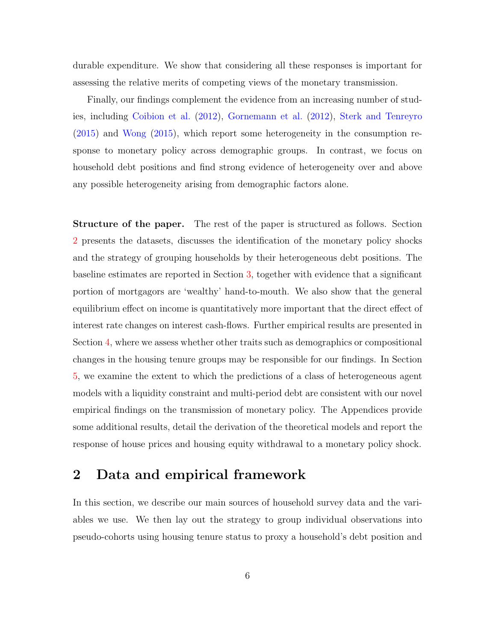durable expenditure. We show that considering all these responses is important for assessing the relative merits of competing views of the monetary transmission.

Finally, our findings complement the evidence from an increasing number of studies, including [Coibion et al.](#page-40-9) [\(2012\)](#page-40-9), [Gornemann et al.](#page-40-10) [\(2012\)](#page-40-10), [Sterk and Tenreyro](#page-41-9) [\(2015\)](#page-41-9) and [Wong](#page-41-10) [\(2015\)](#page-41-10), which report some heterogeneity in the consumption response to monetary policy across demographic groups. In contrast, we focus on household debt positions and find strong evidence of heterogeneity over and above any possible heterogeneity arising from demographic factors alone.

Structure of the paper. The rest of the paper is structured as follows. Section [2](#page-5-0) presents the datasets, discusses the identification of the monetary policy shocks and the strategy of grouping households by their heterogeneous debt positions. The baseline estimates are reported in Section [3,](#page-12-0) together with evidence that a significant portion of mortgagors are 'wealthy' hand-to-mouth. We also show that the general equilibrium effect on income is quantitatively more important that the direct effect of interest rate changes on interest cash-flows. Further empirical results are presented in Section [4,](#page-19-0) where we assess whether other traits such as demographics or compositional changes in the housing tenure groups may be responsible for our findings. In Section [5,](#page-23-0) we examine the extent to which the predictions of a class of heterogeneous agent models with a liquidity constraint and multi-period debt are consistent with our novel empirical findings on the transmission of monetary policy. The Appendices provide some additional results, detail the derivation of the theoretical models and report the response of house prices and housing equity withdrawal to a monetary policy shock.

### <span id="page-5-0"></span>2 Data and empirical framework

In this section, we describe our main sources of household survey data and the variables we use. We then lay out the strategy to group individual observations into pseudo-cohorts using housing tenure status to proxy a household's debt position and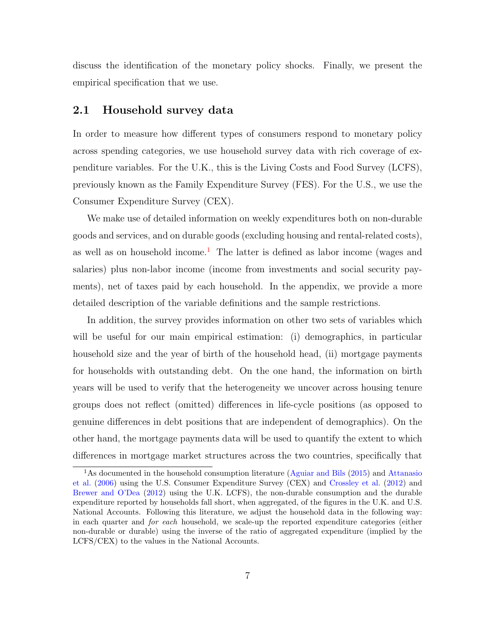discuss the identification of the monetary policy shocks. Finally, we present the empirical specification that we use.

### 2.1 Household survey data

In order to measure how different types of consumers respond to monetary policy across spending categories, we use household survey data with rich coverage of expenditure variables. For the U.K., this is the Living Costs and Food Survey (LCFS), previously known as the Family Expenditure Survey (FES). For the U.S., we use the Consumer Expenditure Survey (CEX).

We make use of detailed information on weekly expenditures both on non-durable goods and services, and on durable goods (excluding housing and rental-related costs), as well as on household income.<sup>[1](#page-6-0)</sup> The latter is defined as labor income (wages and salaries) plus non-labor income (income from investments and social security payments), net of taxes paid by each household. In the appendix, we provide a more detailed description of the variable definitions and the sample restrictions.

In addition, the survey provides information on other two sets of variables which will be useful for our main empirical estimation: (i) demographics, in particular household size and the year of birth of the household head, (ii) mortgage payments for households with outstanding debt. On the one hand, the information on birth years will be used to verify that the heterogeneity we uncover across housing tenure groups does not reflect (omitted) differences in life-cycle positions (as opposed to genuine differences in debt positions that are independent of demographics). On the other hand, the mortgage payments data will be used to quantify the extent to which differences in mortgage market structures across the two countries, specifically that

<span id="page-6-0"></span><sup>&</sup>lt;sup>1</sup>As documented in the household consumption literature [\(Aguiar and Bils](#page-39-4) [\(2015\)](#page-39-4) and [Attanasio](#page-39-5) [et al.](#page-39-5) [\(2006\)](#page-39-5) using the U.S. Consumer Expenditure Survey (CEX) and [Crossley et al.](#page-40-11) [\(2012\)](#page-40-11) and [Brewer and O'Dea](#page-39-6) [\(2012\)](#page-39-6) using the U.K. LCFS), the non-durable consumption and the durable expenditure reported by households fall short, when aggregated, of the figures in the U.K. and U.S. National Accounts. Following this literature, we adjust the household data in the following way: in each quarter and for each household, we scale-up the reported expenditure categories (either non-durable or durable) using the inverse of the ratio of aggregated expenditure (implied by the LCFS/CEX) to the values in the National Accounts.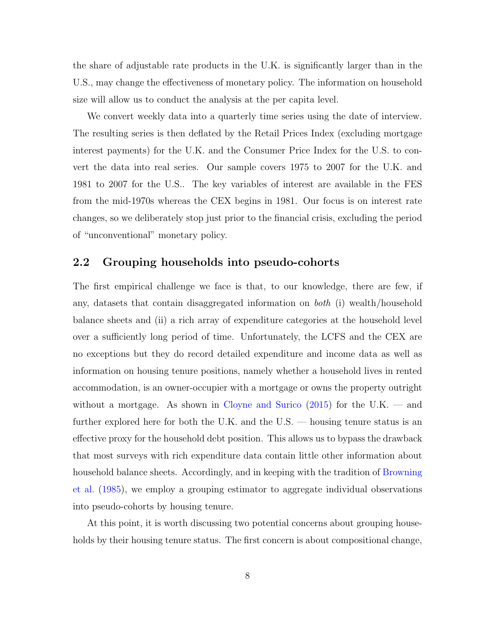the share of adjustable rate products in the U.K. is significantly larger than in the U.S., may change the effectiveness of monetary policy. The information on household size will allow us to conduct the analysis at the per capita level.

We convert weekly data into a quarterly time series using the date of interview. The resulting series is then deflated by the Retail Prices Index (excluding mortgage interest payments) for the U.K. and the Consumer Price Index for the U.S. to convert the data into real series. Our sample covers 1975 to 2007 for the U.K. and 1981 to 2007 for the U.S.. The key variables of interest are available in the FES from the mid-1970s whereas the CEX begins in 1981. Our focus is on interest rate changes, so we deliberately stop just prior to the financial crisis, excluding the period of "unconventional" monetary policy.

### 2.2 Grouping households into pseudo-cohorts

The first empirical challenge we face is that, to our knowledge, there are few, if any, datasets that contain disaggregated information on both (i) wealth/household balance sheets and (ii) a rich array of expenditure categories at the household level over a sufficiently long period of time. Unfortunately, the LCFS and the CEX are no exceptions but they do record detailed expenditure and income data as well as information on housing tenure positions, namely whether a household lives in rented accommodation, is an owner-occupier with a mortgage or owns the property outright without a mortgage. As shown in [Cloyne and Surico](#page-40-6)  $(2015)$  for the U.K. — and further explored here for both the U.K. and the U.S. — housing tenure status is an effective proxy for the household debt position. This allows us to bypass the drawback that most surveys with rich expenditure data contain little other information about household balance sheets. Accordingly, and in keeping with the tradition of [Browning](#page-39-7) [et al.](#page-39-7) [\(1985\)](#page-39-7), we employ a grouping estimator to aggregate individual observations into pseudo-cohorts by housing tenure.

At this point, it is worth discussing two potential concerns about grouping households by their housing tenure status. The first concern is about compositional change,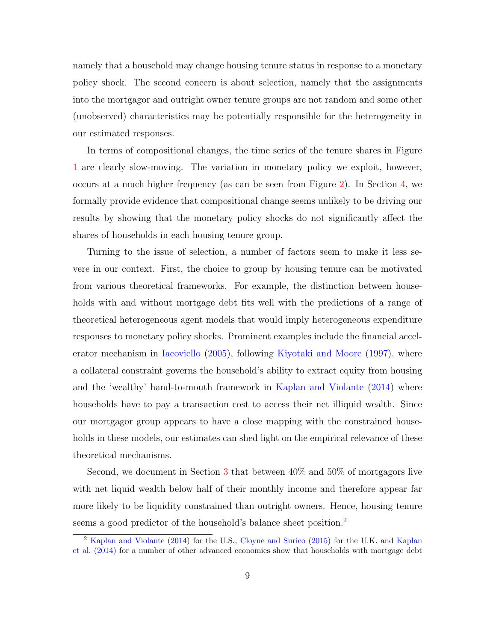namely that a household may change housing tenure status in response to a monetary policy shock. The second concern is about selection, namely that the assignments into the mortgagor and outright owner tenure groups are not random and some other (unobserved) characteristics may be potentially responsible for the heterogeneity in our estimated responses.

In terms of compositional changes, the time series of the tenure shares in Figure [1](#page-30-0) are clearly slow-moving. The variation in monetary policy we exploit, however, occurs at a much higher frequency (as can be seen from Figure [2\)](#page-30-1). In Section [4,](#page-19-0) we formally provide evidence that compositional change seems unlikely to be driving our results by showing that the monetary policy shocks do not significantly affect the shares of households in each housing tenure group.

Turning to the issue of selection, a number of factors seem to make it less severe in our context. First, the choice to group by housing tenure can be motivated from various theoretical frameworks. For example, the distinction between households with and without mortgage debt fits well with the predictions of a range of theoretical heterogeneous agent models that would imply heterogeneous expenditure responses to monetary policy shocks. Prominent examples include the financial accelerator mechanism in [Iacoviello](#page-40-1) [\(2005\)](#page-40-1), following [Kiyotaki and Moore](#page-41-2) [\(1997\)](#page-41-2), where a collateral constraint governs the household's ability to extract equity from housing and the 'wealthy' hand-to-mouth framework in [Kaplan and Violante](#page-41-1) [\(2014\)](#page-41-1) where households have to pay a transaction cost to access their net illiquid wealth. Since our mortgagor group appears to have a close mapping with the constrained households in these models, our estimates can shed light on the empirical relevance of these theoretical mechanisms.

Second, we document in Section [3](#page-12-0) that between 40% and 50% of mortgagors live with net liquid wealth below half of their monthly income and therefore appear far more likely to be liquidity constrained than outright owners. Hence, housing tenure seems a good predictor of the household's balance sheet position.<sup>[2](#page-8-0)</sup>

<span id="page-8-0"></span><sup>2</sup> [Kaplan and Violante](#page-41-1) [\(2014\)](#page-41-1) for the U.S., [Cloyne and Surico](#page-40-6) [\(2015\)](#page-40-6) for the U.K. and [Kaplan](#page-41-11) [et al.](#page-41-11) [\(2014\)](#page-41-11) for a number of other advanced economies show that households with mortgage debt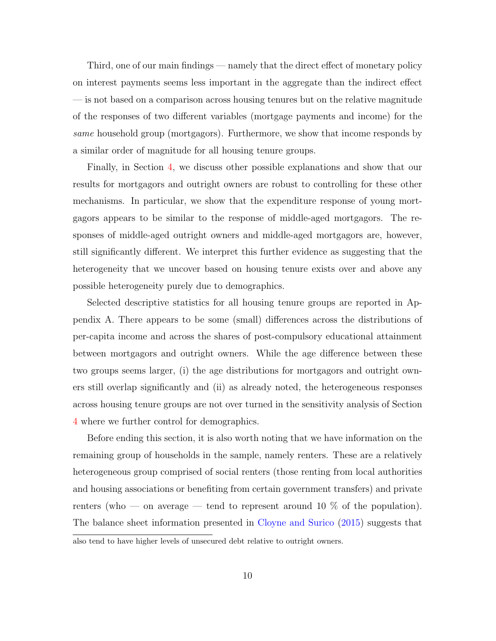Third, one of our main findings — namely that the direct effect of monetary policy on interest payments seems less important in the aggregate than the indirect effect — is not based on a comparison across housing tenures but on the relative magnitude of the responses of two different variables (mortgage payments and income) for the same household group (mortgagors). Furthermore, we show that income responds by a similar order of magnitude for all housing tenure groups.

Finally, in Section [4,](#page-19-0) we discuss other possible explanations and show that our results for mortgagors and outright owners are robust to controlling for these other mechanisms. In particular, we show that the expenditure response of young mortgagors appears to be similar to the response of middle-aged mortgagors. The responses of middle-aged outright owners and middle-aged mortgagors are, however, still significantly different. We interpret this further evidence as suggesting that the heterogeneity that we uncover based on housing tenure exists over and above any possible heterogeneity purely due to demographics.

Selected descriptive statistics for all housing tenure groups are reported in Appendix A. There appears to be some (small) differences across the distributions of per-capita income and across the shares of post-compulsory educational attainment between mortgagors and outright owners. While the age difference between these two groups seems larger, (i) the age distributions for mortgagors and outright owners still overlap significantly and (ii) as already noted, the heterogeneous responses across housing tenure groups are not over turned in the sensitivity analysis of Section [4](#page-19-0) where we further control for demographics.

Before ending this section, it is also worth noting that we have information on the remaining group of households in the sample, namely renters. These are a relatively heterogeneous group comprised of social renters (those renting from local authorities and housing associations or benefiting from certain government transfers) and private renters (who — on average — tend to represent around 10  $\%$  of the population). The balance sheet information presented in [Cloyne and Surico](#page-40-6) [\(2015\)](#page-40-6) suggests that

also tend to have higher levels of unsecured debt relative to outright owners.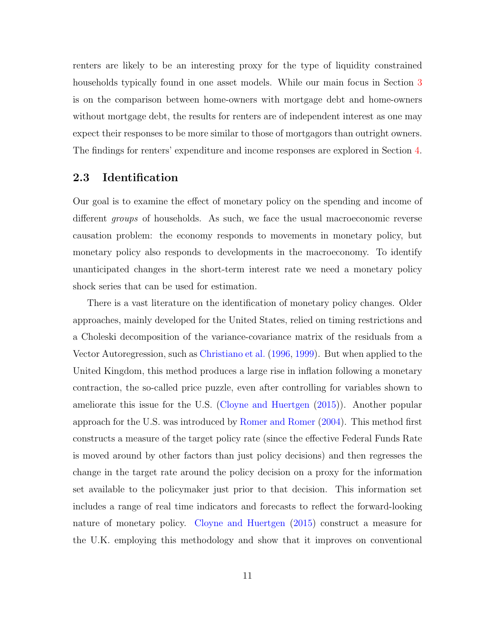renters are likely to be an interesting proxy for the type of liquidity constrained households typically found in one asset models. While our main focus in Section [3](#page-12-0) is on the comparison between home-owners with mortgage debt and home-owners without mortgage debt, the results for renters are of independent interest as one may expect their responses to be more similar to those of mortgagors than outright owners. The findings for renters' expenditure and income responses are explored in Section [4.](#page-19-0)

### 2.3 Identification

Our goal is to examine the effect of monetary policy on the spending and income of different *groups* of households. As such, we face the usual macroeconomic reverse causation problem: the economy responds to movements in monetary policy, but monetary policy also responds to developments in the macroeconomy. To identify unanticipated changes in the short-term interest rate we need a monetary policy shock series that can be used for estimation.

There is a vast literature on the identification of monetary policy changes. Older approaches, mainly developed for the United States, relied on timing restrictions and a Choleski decomposition of the variance-covariance matrix of the residuals from a Vector Autoregression, such as [Christiano et al.](#page-39-8) [\(1996,](#page-39-8) [1999\)](#page-39-9). But when applied to the United Kingdom, this method produces a large rise in inflation following a monetary contraction, the so-called price puzzle, even after controlling for variables shown to ameliorate this issue for the U.S. [\(Cloyne and Huertgen](#page-40-0) [\(2015\)](#page-40-0)). Another popular approach for the U.S. was introduced by [Romer and Romer](#page-41-0) [\(2004\)](#page-41-0). This method first constructs a measure of the target policy rate (since the effective Federal Funds Rate is moved around by other factors than just policy decisions) and then regresses the change in the target rate around the policy decision on a proxy for the information set available to the policymaker just prior to that decision. This information set includes a range of real time indicators and forecasts to reflect the forward-looking nature of monetary policy. [Cloyne and Huertgen](#page-40-0) [\(2015\)](#page-40-0) construct a measure for the U.K. employing this methodology and show that it improves on conventional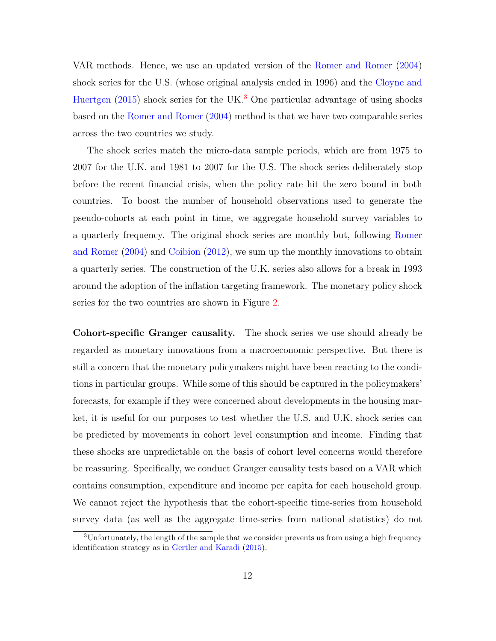VAR methods. Hence, we use an updated version of the [Romer and Romer](#page-41-0) [\(2004\)](#page-41-0) shock series for the U.S. (whose original analysis ended in 1996) and the [Cloyne and](#page-40-0) [Huertgen](#page-40-0)  $(2015)$  shock series for the UK.<sup>[3](#page-11-0)</sup> One particular advantage of using shocks based on the [Romer and Romer](#page-41-0) [\(2004\)](#page-41-0) method is that we have two comparable series across the two countries we study.

The shock series match the micro-data sample periods, which are from 1975 to 2007 for the U.K. and 1981 to 2007 for the U.S. The shock series deliberately stop before the recent financial crisis, when the policy rate hit the zero bound in both countries. To boost the number of household observations used to generate the pseudo-cohorts at each point in time, we aggregate household survey variables to a quarterly frequency. The original shock series are monthly but, following [Romer](#page-41-0) [and Romer](#page-41-0) [\(2004\)](#page-41-0) and [Coibion](#page-40-12) [\(2012\)](#page-40-12), we sum up the monthly innovations to obtain a quarterly series. The construction of the U.K. series also allows for a break in 1993 around the adoption of the inflation targeting framework. The monetary policy shock series for the two countries are shown in Figure [2.](#page-30-1)

Cohort-specific Granger causality. The shock series we use should already be regarded as monetary innovations from a macroeconomic perspective. But there is still a concern that the monetary policymakers might have been reacting to the conditions in particular groups. While some of this should be captured in the policymakers' forecasts, for example if they were concerned about developments in the housing market, it is useful for our purposes to test whether the U.S. and U.K. shock series can be predicted by movements in cohort level consumption and income. Finding that these shocks are unpredictable on the basis of cohort level concerns would therefore be reassuring. Specifically, we conduct Granger causality tests based on a VAR which contains consumption, expenditure and income per capita for each household group. We cannot reject the hypothesis that the cohort-specific time-series from household survey data (as well as the aggregate time-series from national statistics) do not

<span id="page-11-0"></span> $3$ Unfortunately, the length of the sample that we consider prevents us from using a high frequency identification strategy as in [Gertler and Karadi](#page-40-13) [\(2015\)](#page-40-13).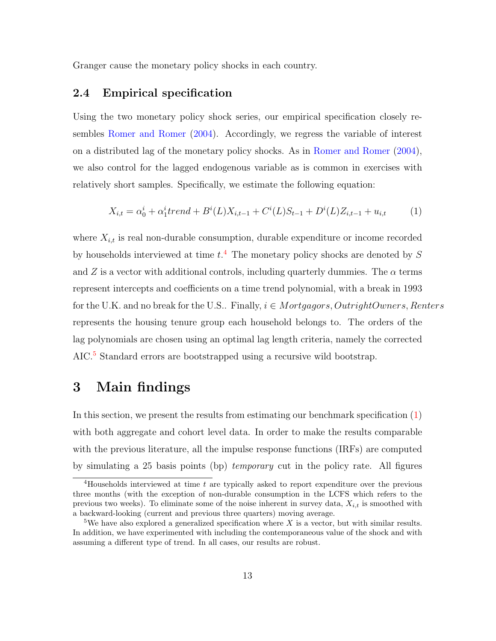Granger cause the monetary policy shocks in each country.

### 2.4 Empirical specification

Using the two monetary policy shock series, our empirical specification closely resembles [Romer and Romer](#page-41-0) [\(2004\)](#page-41-0). Accordingly, we regress the variable of interest on a distributed lag of the monetary policy shocks. As in [Romer and Romer](#page-41-0) [\(2004\)](#page-41-0), we also control for the lagged endogenous variable as is common in exercises with relatively short samples. Specifically, we estimate the following equation:

<span id="page-12-3"></span>
$$
X_{i,t} = \alpha_0^i + \alpha_1^i trend + B^i(L)X_{i,t-1} + C^i(L)S_{t-1} + D^i(L)Z_{i,t-1} + u_{i,t}
$$
 (1)

where  $X_{i,t}$  is real non-durable consumption, durable expenditure or income recorded by households interviewed at time  $t<sup>4</sup>$  $t<sup>4</sup>$  $t<sup>4</sup>$ . The monetary policy shocks are denoted by S and Z is a vector with additional controls, including quarterly dummies. The  $\alpha$  terms represent intercepts and coefficients on a time trend polynomial, with a break in 1993 for the U.K. and no break for the U.S.. Finally,  $i \in Mortagagors, OutrightOwners, Renters$ represents the housing tenure group each household belongs to. The orders of the lag polynomials are chosen using an optimal lag length criteria, namely the corrected AIC.<sup>[5](#page-12-2)</sup> Standard errors are bootstrapped using a recursive wild bootstrap.

### <span id="page-12-0"></span>3 Main findings

In this section, we present the results from estimating our benchmark specification [\(1\)](#page-12-3) with both aggregate and cohort level data. In order to make the results comparable with the previous literature, all the impulse response functions (IRFs) are computed by simulating a 25 basis points (bp) temporary cut in the policy rate. All figures

<span id="page-12-1"></span><sup>&</sup>lt;sup>4</sup>Households interviewed at time t are typically asked to report expenditure over the previous three months (with the exception of non-durable consumption in the LCFS which refers to the previous two weeks). To eliminate some of the noise inherent in survey data,  $X_{i,t}$  is smoothed with a backward-looking (current and previous three quarters) moving average.

<span id="page-12-2"></span><sup>&</sup>lt;sup>5</sup>We have also explored a generalized specification where X is a vector, but with similar results. In addition, we have experimented with including the contemporaneous value of the shock and with assuming a different type of trend. In all cases, our results are robust.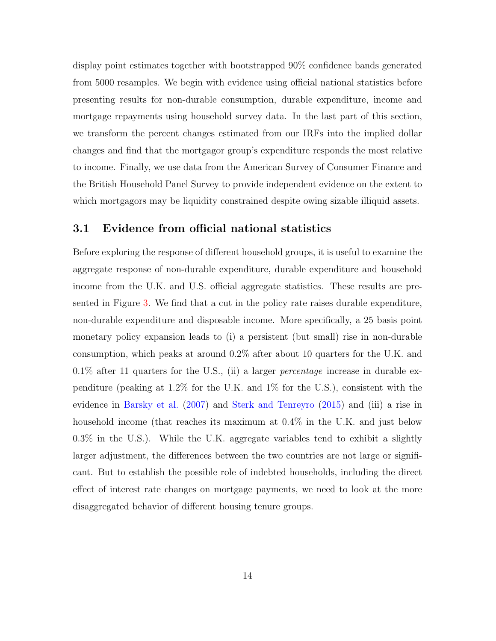display point estimates together with bootstrapped 90% confidence bands generated from 5000 resamples. We begin with evidence using official national statistics before presenting results for non-durable consumption, durable expenditure, income and mortgage repayments using household survey data. In the last part of this section, we transform the percent changes estimated from our IRFs into the implied dollar changes and find that the mortgagor group's expenditure responds the most relative to income. Finally, we use data from the American Survey of Consumer Finance and the British Household Panel Survey to provide independent evidence on the extent to which mortgagors may be liquidity constrained despite owing sizable illiquid assets.

### 3.1 Evidence from official national statistics

Before exploring the response of different household groups, it is useful to examine the aggregate response of non-durable expenditure, durable expenditure and household income from the U.K. and U.S. official aggregate statistics. These results are presented in Figure [3.](#page-31-0) We find that a cut in the policy rate raises durable expenditure, non-durable expenditure and disposable income. More specifically, a 25 basis point monetary policy expansion leads to (i) a persistent (but small) rise in non-durable consumption, which peaks at around 0.2% after about 10 quarters for the U.K. and  $0.1\%$  after 11 quarters for the U.S., (ii) a larger *percentage* increase in durable expenditure (peaking at  $1.2\%$  for the U.K. and  $1\%$  for the U.S.), consistent with the evidence in [Barsky et al.](#page-39-10) [\(2007\)](#page-39-10) and [Sterk and Tenreyro](#page-41-9) [\(2015\)](#page-41-9) and (iii) a rise in household income (that reaches its maximum at  $0.4\%$  in the U.K. and just below 0.3% in the U.S.). While the U.K. aggregate variables tend to exhibit a slightly larger adjustment, the differences between the two countries are not large or significant. But to establish the possible role of indebted households, including the direct effect of interest rate changes on mortgage payments, we need to look at the more disaggregated behavior of different housing tenure groups.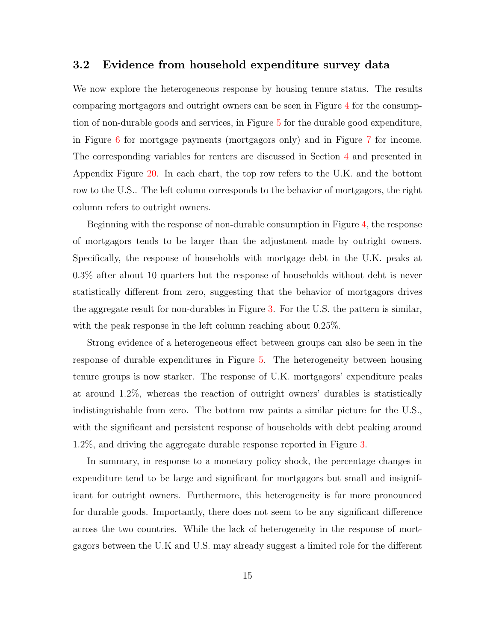### 3.2 Evidence from household expenditure survey data

We now explore the heterogeneous response by housing tenure status. The results comparing mortgagors and outright owners can be seen in Figure [4](#page-32-0) for the consumption of non-durable goods and services, in Figure [5](#page-33-0) for the durable good expenditure, in Figure [6](#page-33-0) for mortgage payments (mortgagors only) and in Figure [7](#page-34-0) for income. The corresponding variables for renters are discussed in Section [4](#page-19-0) and presented in Appendix Figure [20.](#page-55-0) In each chart, the top row refers to the U.K. and the bottom row to the U.S.. The left column corresponds to the behavior of mortgagors, the right column refers to outright owners.

Beginning with the response of non-durable consumption in Figure [4,](#page-32-0) the response of mortgagors tends to be larger than the adjustment made by outright owners. Specifically, the response of households with mortgage debt in the U.K. peaks at 0.3% after about 10 quarters but the response of households without debt is never statistically different from zero, suggesting that the behavior of mortgagors drives the aggregate result for non-durables in Figure [3.](#page-31-0) For the U.S. the pattern is similar, with the peak response in the left column reaching about 0.25%.

Strong evidence of a heterogeneous effect between groups can also be seen in the response of durable expenditures in Figure [5.](#page-33-0) The heterogeneity between housing tenure groups is now starker. The response of U.K. mortgagors' expenditure peaks at around 1.2%, whereas the reaction of outright owners' durables is statistically indistinguishable from zero. The bottom row paints a similar picture for the U.S., with the significant and persistent response of households with debt peaking around 1.2%, and driving the aggregate durable response reported in Figure [3.](#page-31-0)

In summary, in response to a monetary policy shock, the percentage changes in expenditure tend to be large and significant for mortgagors but small and insignificant for outright owners. Furthermore, this heterogeneity is far more pronounced for durable goods. Importantly, there does not seem to be any significant difference across the two countries. While the lack of heterogeneity in the response of mortgagors between the U.K and U.S. may already suggest a limited role for the different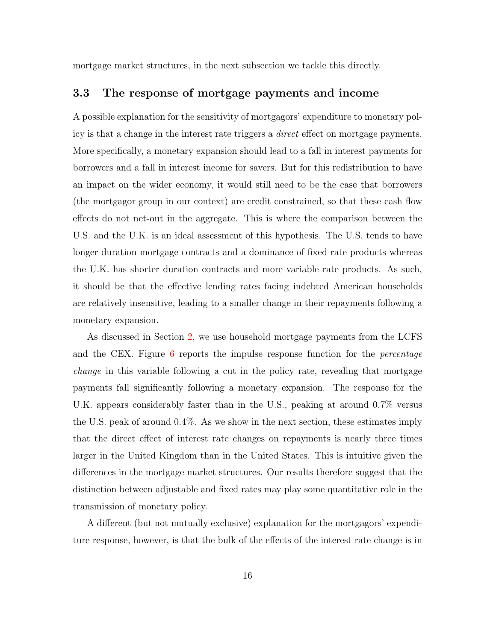mortgage market structures, in the next subsection we tackle this directly.

### 3.3 The response of mortgage payments and income

A possible explanation for the sensitivity of mortgagors' expenditure to monetary policy is that a change in the interest rate triggers a direct effect on mortgage payments. More specifically, a monetary expansion should lead to a fall in interest payments for borrowers and a fall in interest income for savers. But for this redistribution to have an impact on the wider economy, it would still need to be the case that borrowers (the mortgagor group in our context) are credit constrained, so that these cash flow effects do not net-out in the aggregate. This is where the comparison between the U.S. and the U.K. is an ideal assessment of this hypothesis. The U.S. tends to have longer duration mortgage contracts and a dominance of fixed rate products whereas the U.K. has shorter duration contracts and more variable rate products. As such, it should be that the effective lending rates facing indebted American households are relatively insensitive, leading to a smaller change in their repayments following a monetary expansion.

As discussed in Section [2,](#page-5-0) we use household mortgage payments from the LCFS and the CEX. Figure [6](#page-33-0) reports the impulse response function for the *percentage* change in this variable following a cut in the policy rate, revealing that mortgage payments fall significantly following a monetary expansion. The response for the U.K. appears considerably faster than in the U.S., peaking at around 0.7% versus the U.S. peak of around 0.4%. As we show in the next section, these estimates imply that the direct effect of interest rate changes on repayments is nearly three times larger in the United Kingdom than in the United States. This is intuitive given the differences in the mortgage market structures. Our results therefore suggest that the distinction between adjustable and fixed rates may play some quantitative role in the transmission of monetary policy.

A different (but not mutually exclusive) explanation for the mortgagors' expenditure response, however, is that the bulk of the effects of the interest rate change is in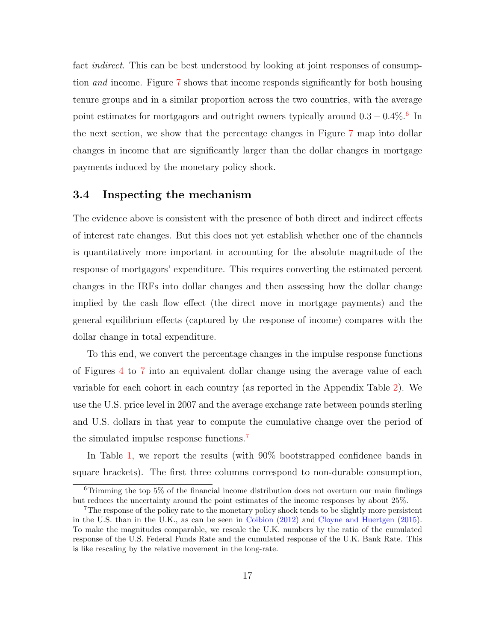fact *indirect*. This can be best understood by looking at joint responses of consumption and income. Figure [7](#page-34-0) shows that income responds significantly for both housing tenure groups and in a similar proportion across the two countries, with the average point estimates for mortgagors and outright owners typically around  $0.3 - 0.4\%$ .<sup>[6](#page-16-0)</sup> In the next section, we show that the percentage changes in Figure [7](#page-34-0) map into dollar changes in income that are significantly larger than the dollar changes in mortgage payments induced by the monetary policy shock.

### 3.4 Inspecting the mechanism

The evidence above is consistent with the presence of both direct and indirect effects of interest rate changes. But this does not yet establish whether one of the channels is quantitatively more important in accounting for the absolute magnitude of the response of mortgagors' expenditure. This requires converting the estimated percent changes in the IRFs into dollar changes and then assessing how the dollar change implied by the cash flow effect (the direct move in mortgage payments) and the general equilibrium effects (captured by the response of income) compares with the dollar change in total expenditure.

To this end, we convert the percentage changes in the impulse response functions of Figures [4](#page-32-0) to [7](#page-34-0) into an equivalent dollar change using the average value of each variable for each cohort in each country (as reported in the Appendix Table [2\)](#page-45-0). We use the U.S. price level in 2007 and the average exchange rate between pounds sterling and U.S. dollars in that year to compute the cumulative change over the period of the simulated impulse response functions.[7](#page-16-1)

In Table [1,](#page-36-0) we report the results (with 90% bootstrapped confidence bands in square brackets). The first three columns correspond to non-durable consumption,

<span id="page-16-0"></span> $6$ Trimming the top 5% of the financial income distribution does not overturn our main findings but reduces the uncertainty around the point estimates of the income responses by about 25%.

<span id="page-16-1"></span><sup>&</sup>lt;sup>7</sup>The response of the policy rate to the monetary policy shock tends to be slightly more persistent in the U.S. than in the U.K., as can be seen in [Coibion](#page-40-12) [\(2012\)](#page-40-12) and [Cloyne and Huertgen](#page-40-0) [\(2015\)](#page-40-0). To make the magnitudes comparable, we rescale the U.K. numbers by the ratio of the cumulated response of the U.S. Federal Funds Rate and the cumulated response of the U.K. Bank Rate. This is like rescaling by the relative movement in the long-rate.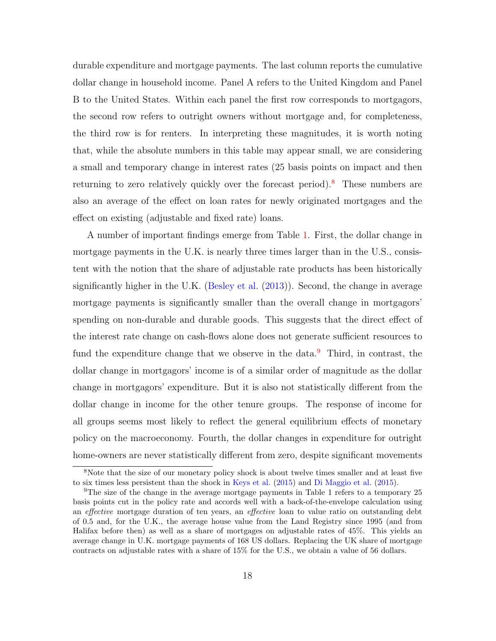durable expenditure and mortgage payments. The last column reports the cumulative dollar change in household income. Panel A refers to the United Kingdom and Panel B to the United States. Within each panel the first row corresponds to mortgagors, the second row refers to outright owners without mortgage and, for completeness, the third row is for renters. In interpreting these magnitudes, it is worth noting that, while the absolute numbers in this table may appear small, we are considering a small and temporary change in interest rates (25 basis points on impact and then returning to zero relatively quickly over the forecast period).<sup>[8](#page-17-0)</sup> These numbers are also an average of the effect on loan rates for newly originated mortgages and the effect on existing (adjustable and fixed rate) loans.

A number of important findings emerge from Table [1.](#page-36-0) First, the dollar change in mortgage payments in the U.K. is nearly three times larger than in the U.S., consistent with the notion that the share of adjustable rate products has been historically significantly higher in the U.K. [\(Besley et al.](#page-39-11) [\(2013\)](#page-39-11)). Second, the change in average mortgage payments is significantly smaller than the overall change in mortgagors' spending on non-durable and durable goods. This suggests that the direct effect of the interest rate change on cash-flows alone does not generate sufficient resources to fund the expenditure change that we observe in the data.<sup>[9](#page-17-1)</sup> Third, in contrast, the dollar change in mortgagors' income is of a similar order of magnitude as the dollar change in mortgagors' expenditure. But it is also not statistically different from the dollar change in income for the other tenure groups. The response of income for all groups seems most likely to reflect the general equilibrium effects of monetary policy on the macroeconomy. Fourth, the dollar changes in expenditure for outright home-owners are never statistically different from zero, despite significant movements

<span id="page-17-0"></span><sup>&</sup>lt;sup>8</sup>Note that the size of our monetary policy shock is about twelve times smaller and at least five to six times less persistent than the shock in [Keys et al.](#page-41-8) [\(2015\)](#page-41-8) and [Di Maggio et al.](#page-40-8) [\(2015\)](#page-40-8).

<span id="page-17-1"></span><sup>&</sup>lt;sup>9</sup>The size of the change in the average mortgage payments in Table 1 refers to a temporary 25 basis points cut in the policy rate and accords well with a back-of-the-envelope calculation using an effective mortgage duration of ten years, an effective loan to value ratio on outstanding debt of 0.5 and, for the U.K., the average house value from the Land Registry since 1995 (and from Halifax before then) as well as a share of mortgages on adjustable rates of 45%. This yields an average change in U.K. mortgage payments of 168 US dollars. Replacing the UK share of mortgage contracts on adjustable rates with a share of 15% for the U.S., we obtain a value of 56 dollars.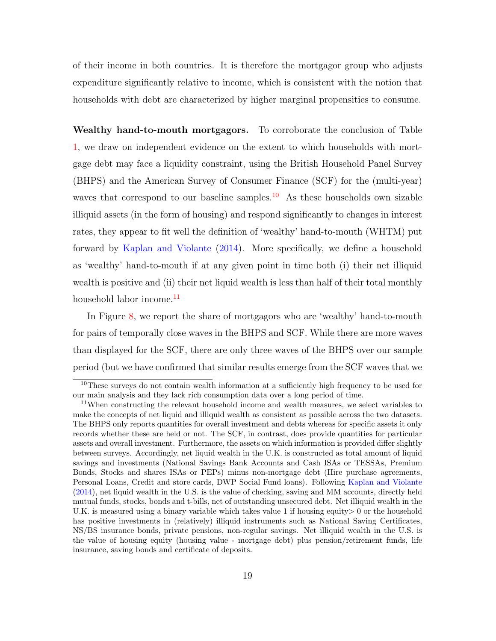of their income in both countries. It is therefore the mortgagor group who adjusts expenditure significantly relative to income, which is consistent with the notion that households with debt are characterized by higher marginal propensities to consume.

Wealthy hand-to-mouth mortgagors. To corroborate the conclusion of Table [1,](#page-36-0) we draw on independent evidence on the extent to which households with mortgage debt may face a liquidity constraint, using the British Household Panel Survey (BHPS) and the American Survey of Consumer Finance (SCF) for the (multi-year) waves that correspond to our baseline samples.<sup>[10](#page-18-0)</sup> As these households own sizable illiquid assets (in the form of housing) and respond significantly to changes in interest rates, they appear to fit well the definition of 'wealthy' hand-to-mouth (WHTM) put forward by [Kaplan and Violante](#page-41-1) [\(2014\)](#page-41-1). More specifically, we define a household as 'wealthy' hand-to-mouth if at any given point in time both (i) their net illiquid wealth is positive and (ii) their net liquid wealth is less than half of their total monthly household labor income.<sup>[11](#page-18-1)</sup>

In Figure [8,](#page-35-0) we report the share of mortgagors who are 'wealthy' hand-to-mouth for pairs of temporally close waves in the BHPS and SCF. While there are more waves than displayed for the SCF, there are only three waves of the BHPS over our sample period (but we have confirmed that similar results emerge from the SCF waves that we

<span id="page-18-0"></span><sup>&</sup>lt;sup>10</sup>These surveys do not contain wealth information at a sufficiently high frequency to be used for our main analysis and they lack rich consumption data over a long period of time.

<span id="page-18-1"></span><sup>11</sup>When constructing the relevant household income and wealth measures, we select variables to make the concepts of net liquid and illiquid wealth as consistent as possible across the two datasets. The BHPS only reports quantities for overall investment and debts whereas for specific assets it only records whether these are held or not. The SCF, in contrast, does provide quantities for particular assets and overall investment. Furthermore, the assets on which information is provided differ slightly between surveys. Accordingly, net liquid wealth in the U.K. is constructed as total amount of liquid savings and investments (National Savings Bank Accounts and Cash ISAs or TESSAs, Premium Bonds, Stocks and shares ISAs or PEPs) minus non-mortgage debt (Hire purchase agreements, Personal Loans, Credit and store cards, DWP Social Fund loans). Following [Kaplan and Violante](#page-41-1) [\(2014\)](#page-41-1), net liquid wealth in the U.S. is the value of checking, saving and MM accounts, directly held mutual funds, stocks, bonds and t-bills, net of outstanding unsecured debt. Net illiquid wealth in the U.K. is measured using a binary variable which takes value 1 if housing equity> 0 or the household has positive investments in (relatively) illiquid instruments such as National Saving Certificates, NS/BS insurance bonds, private pensions, non-regular savings. Net illiquid wealth in the U.S. is the value of housing equity (housing value - mortgage debt) plus pension/retirement funds, life insurance, saving bonds and certificate of deposits.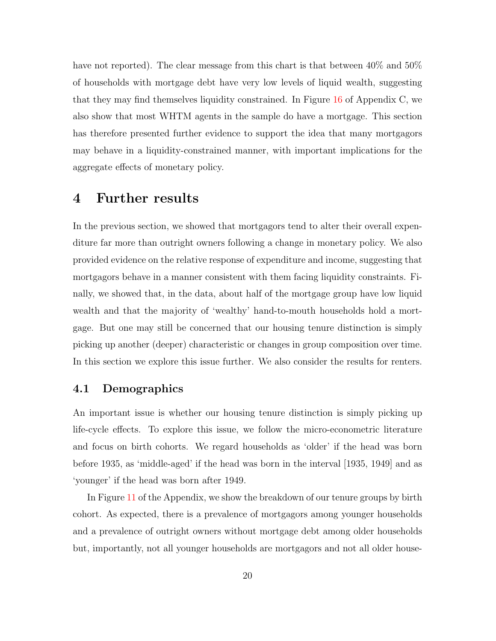have not reported). The clear message from this chart is that between  $40\%$  and  $50\%$ of households with mortgage debt have very low levels of liquid wealth, suggesting that they may find themselves liquidity constrained. In Figure [16](#page-51-0) of Appendix C, we also show that most WHTM agents in the sample do have a mortgage. This section has therefore presented further evidence to support the idea that many mortgagors may behave in a liquidity-constrained manner, with important implications for the aggregate effects of monetary policy.

# <span id="page-19-0"></span>4 Further results

In the previous section, we showed that mortgagors tend to alter their overall expenditure far more than outright owners following a change in monetary policy. We also provided evidence on the relative response of expenditure and income, suggesting that mortgagors behave in a manner consistent with them facing liquidity constraints. Finally, we showed that, in the data, about half of the mortgage group have low liquid wealth and that the majority of 'wealthy' hand-to-mouth households hold a mortgage. But one may still be concerned that our housing tenure distinction is simply picking up another (deeper) characteristic or changes in group composition over time. In this section we explore this issue further. We also consider the results for renters.

### 4.1 Demographics

An important issue is whether our housing tenure distinction is simply picking up life-cycle effects. To explore this issue, we follow the micro-econometric literature and focus on birth cohorts. We regard households as 'older' if the head was born before 1935, as 'middle-aged' if the head was born in the interval [1935, 1949] and as 'younger' if the head was born after 1949.

In Figure [11](#page-46-0) of the Appendix, we show the breakdown of our tenure groups by birth cohort. As expected, there is a prevalence of mortgagors among younger households and a prevalence of outright owners without mortgage debt among older households but, importantly, not all younger households are mortgagors and not all older house-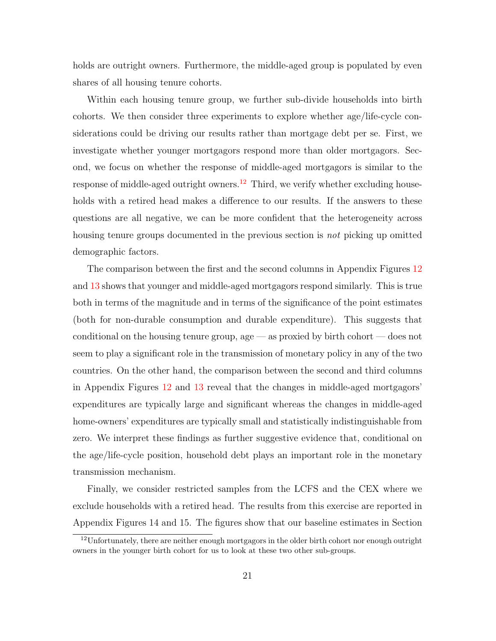holds are outright owners. Furthermore, the middle-aged group is populated by even shares of all housing tenure cohorts.

Within each housing tenure group, we further sub-divide households into birth cohorts. We then consider three experiments to explore whether age/life-cycle considerations could be driving our results rather than mortgage debt per se. First, we investigate whether younger mortgagors respond more than older mortgagors. Second, we focus on whether the response of middle-aged mortgagors is similar to the response of middle-aged outright owners.<sup>[12](#page-20-0)</sup> Third, we verify whether excluding households with a retired head makes a difference to our results. If the answers to these questions are all negative, we can be more confident that the heterogeneity across housing tenure groups documented in the previous section is *not* picking up omitted demographic factors.

The comparison between the first and the second columns in Appendix Figures [12](#page-47-0) and [13](#page-48-0) shows that younger and middle-aged mortgagors respond similarly. This is true both in terms of the magnitude and in terms of the significance of the point estimates (both for non-durable consumption and durable expenditure). This suggests that conditional on the housing tenure group, age — as proxied by birth cohort — does not seem to play a significant role in the transmission of monetary policy in any of the two countries. On the other hand, the comparison between the second and third columns in Appendix Figures [12](#page-47-0) and [13](#page-48-0) reveal that the changes in middle-aged mortgagors' expenditures are typically large and significant whereas the changes in middle-aged home-owners' expenditures are typically small and statistically indistinguishable from zero. We interpret these findings as further suggestive evidence that, conditional on the age/life-cycle position, household debt plays an important role in the monetary transmission mechanism.

Finally, we consider restricted samples from the LCFS and the CEX where we exclude households with a retired head. The results from this exercise are reported in Appendix Figures 14 and 15. The figures show that our baseline estimates in Section

<span id="page-20-0"></span> $12$ Unfortunately, there are neither enough mortgagors in the older birth cohort nor enough outright owners in the younger birth cohort for us to look at these two other sub-groups.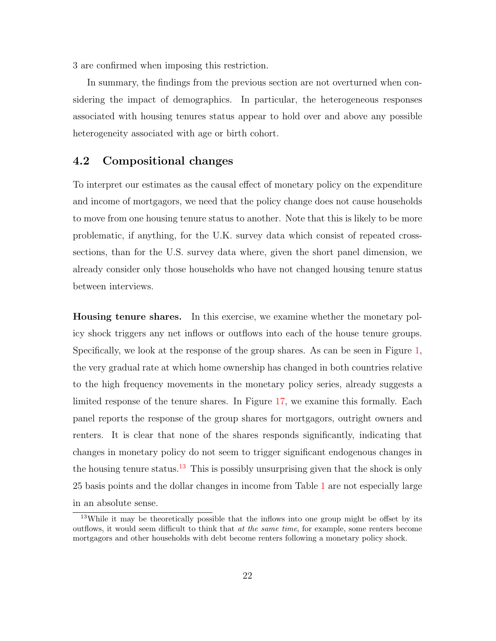3 are confirmed when imposing this restriction.

In summary, the findings from the previous section are not overturned when considering the impact of demographics. In particular, the heterogeneous responses associated with housing tenures status appear to hold over and above any possible heterogeneity associated with age or birth cohort.

### 4.2 Compositional changes

To interpret our estimates as the causal effect of monetary policy on the expenditure and income of mortgagors, we need that the policy change does not cause households to move from one housing tenure status to another. Note that this is likely to be more problematic, if anything, for the U.K. survey data which consist of repeated crosssections, than for the U.S. survey data where, given the short panel dimension, we already consider only those households who have not changed housing tenure status between interviews.

Housing tenure shares. In this exercise, we examine whether the monetary policy shock triggers any net inflows or outflows into each of the house tenure groups. Specifically, we look at the response of the group shares. As can be seen in Figure [1,](#page-30-0) the very gradual rate at which home ownership has changed in both countries relative to the high frequency movements in the monetary policy series, already suggests a limited response of the tenure shares. In Figure [17,](#page-52-0) we examine this formally. Each panel reports the response of the group shares for mortgagors, outright owners and renters. It is clear that none of the shares responds significantly, indicating that changes in monetary policy do not seem to trigger significant endogenous changes in the housing tenure status.<sup>[13](#page-21-0)</sup> This is possibly unsurprising given that the shock is only 25 basis points and the dollar changes in income from Table [1](#page-36-0) are not especially large in an absolute sense.

<span id="page-21-0"></span><sup>&</sup>lt;sup>13</sup>While it may be theoretically possible that the inflows into one group might be offset by its outflows, it would seem difficult to think that at the same time, for example, some renters become mortgagors and other households with debt become renters following a monetary policy shock.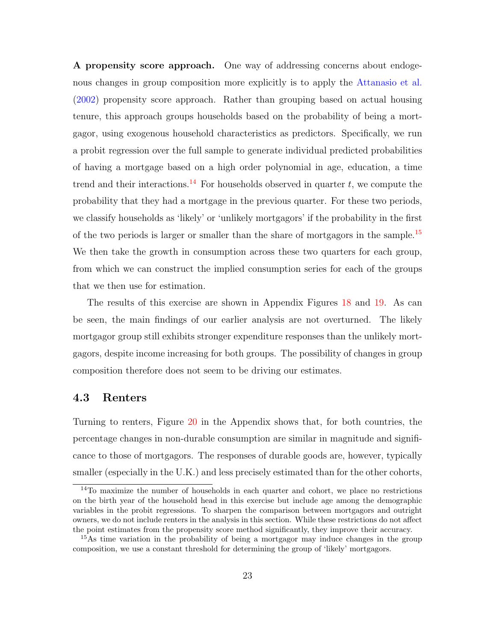A propensity score approach. One way of addressing concerns about endogenous changes in group composition more explicitly is to apply the [Attanasio et al.](#page-39-12) [\(2002\)](#page-39-12) propensity score approach. Rather than grouping based on actual housing tenure, this approach groups households based on the probability of being a mortgagor, using exogenous household characteristics as predictors. Specifically, we run a probit regression over the full sample to generate individual predicted probabilities of having a mortgage based on a high order polynomial in age, education, a time trend and their interactions.<sup>[14](#page-22-0)</sup> For households observed in quarter t, we compute the probability that they had a mortgage in the previous quarter. For these two periods, we classify households as 'likely' or 'unlikely mortgagors' if the probability in the first of the two periods is larger or smaller than the share of mortgagors in the sample.[15](#page-22-1) We then take the growth in consumption across these two quarters for each group, from which we can construct the implied consumption series for each of the groups that we then use for estimation.

The results of this exercise are shown in Appendix Figures [18](#page-53-0) and [19.](#page-54-0) As can be seen, the main findings of our earlier analysis are not overturned. The likely mortgagor group still exhibits stronger expenditure responses than the unlikely mortgagors, despite income increasing for both groups. The possibility of changes in group composition therefore does not seem to be driving our estimates.

### 4.3 Renters

Turning to renters, Figure [20](#page-55-0) in the Appendix shows that, for both countries, the percentage changes in non-durable consumption are similar in magnitude and significance to those of mortgagors. The responses of durable goods are, however, typically smaller (especially in the U.K.) and less precisely estimated than for the other cohorts,

<span id="page-22-0"></span><sup>&</sup>lt;sup>14</sup>To maximize the number of households in each quarter and cohort, we place no restrictions on the birth year of the household head in this exercise but include age among the demographic variables in the probit regressions. To sharpen the comparison between mortgagors and outright owners, we do not include renters in the analysis in this section. While these restrictions do not affect the point estimates from the propensity score method significantly, they improve their accuracy.

<span id="page-22-1"></span><sup>15</sup>As time variation in the probability of being a mortgagor may induce changes in the group composition, we use a constant threshold for determining the group of 'likely' mortgagors.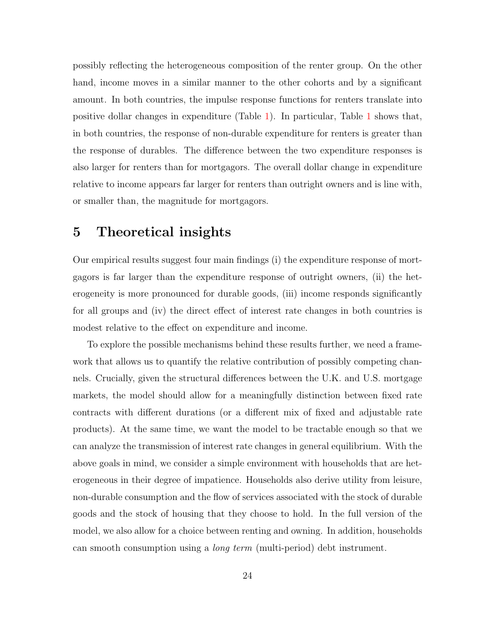possibly reflecting the heterogeneous composition of the renter group. On the other hand, income moves in a similar manner to the other cohorts and by a significant amount. In both countries, the impulse response functions for renters translate into positive dollar changes in expenditure (Table [1\)](#page-36-0). In particular, Table [1](#page-36-0) shows that, in both countries, the response of non-durable expenditure for renters is greater than the response of durables. The difference between the two expenditure responses is also larger for renters than for mortgagors. The overall dollar change in expenditure relative to income appears far larger for renters than outright owners and is line with, or smaller than, the magnitude for mortgagors.

### <span id="page-23-0"></span>5 Theoretical insights

Our empirical results suggest four main findings (i) the expenditure response of mortgagors is far larger than the expenditure response of outright owners, (ii) the heterogeneity is more pronounced for durable goods, (iii) income responds significantly for all groups and (iv) the direct effect of interest rate changes in both countries is modest relative to the effect on expenditure and income.

To explore the possible mechanisms behind these results further, we need a framework that allows us to quantify the relative contribution of possibly competing channels. Crucially, given the structural differences between the U.K. and U.S. mortgage markets, the model should allow for a meaningfully distinction between fixed rate contracts with different durations (or a different mix of fixed and adjustable rate products). At the same time, we want the model to be tractable enough so that we can analyze the transmission of interest rate changes in general equilibrium. With the above goals in mind, we consider a simple environment with households that are heterogeneous in their degree of impatience. Households also derive utility from leisure, non-durable consumption and the flow of services associated with the stock of durable goods and the stock of housing that they choose to hold. In the full version of the model, we also allow for a choice between renting and owning. In addition, households can smooth consumption using a long term (multi-period) debt instrument.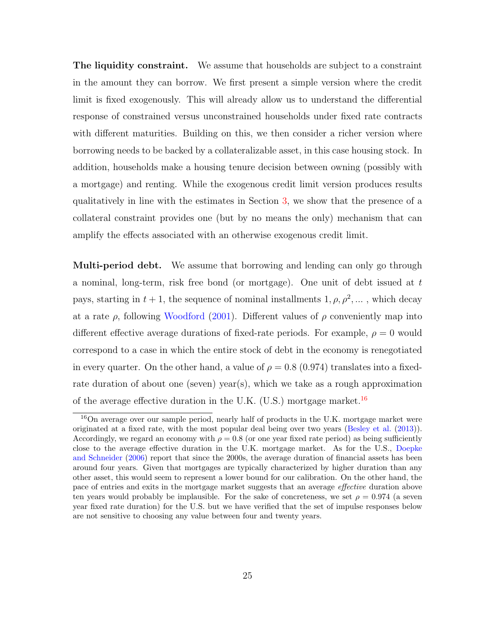The liquidity constraint. We assume that households are subject to a constraint in the amount they can borrow. We first present a simple version where the credit limit is fixed exogenously. This will already allow us to understand the differential response of constrained versus unconstrained households under fixed rate contracts with different maturities. Building on this, we then consider a richer version where borrowing needs to be backed by a collateralizable asset, in this case housing stock. In addition, households make a housing tenure decision between owning (possibly with a mortgage) and renting. While the exogenous credit limit version produces results qualitatively in line with the estimates in Section [3,](#page-12-0) we show that the presence of a collateral constraint provides one (but by no means the only) mechanism that can amplify the effects associated with an otherwise exogenous credit limit.

Multi-period debt. We assume that borrowing and lending can only go through a nominal, long-term, risk free bond (or mortgage). One unit of debt issued at  $t$ pays, starting in  $t + 1$ , the sequence of nominal installments  $1, \rho, \rho^2, \dots$ , which decay at a rate  $\rho$ , following [Woodford](#page-41-12) [\(2001\)](#page-41-12). Different values of  $\rho$  conveniently map into different effective average durations of fixed-rate periods. For example,  $\rho = 0$  would correspond to a case in which the entire stock of debt in the economy is renegotiated in every quarter. On the other hand, a value of  $\rho = 0.8$  (0.974) translates into a fixedrate duration of about one (seven) year(s), which we take as a rough approximation of the average effective duration in the U.K. (U.S.) mortgage market.<sup>[16](#page-24-0)</sup>

<span id="page-24-0"></span><sup>16</sup>On average over our sample period, nearly half of products in the U.K. mortgage market were originated at a fixed rate, with the most popular deal being over two years [\(Besley et al.](#page-39-11) [\(2013\)](#page-39-11)). Accordingly, we regard an economy with  $\rho = 0.8$  (or one year fixed rate period) as being sufficiently close to the average effective duration in the U.K. mortgage market. As for the U.S., [Doepke](#page-40-14) [and Schneider](#page-40-14) [\(2006\)](#page-40-14) report that since the 2000s, the average duration of financial assets has been around four years. Given that mortgages are typically characterized by higher duration than any other asset, this would seem to represent a lower bound for our calibration. On the other hand, the pace of entries and exits in the mortgage market suggests that an average effective duration above ten years would probably be implausible. For the sake of concreteness, we set  $\rho = 0.974$  (a seven year fixed rate duration) for the U.S. but we have verified that the set of impulse responses below are not sensitive to choosing any value between four and twenty years.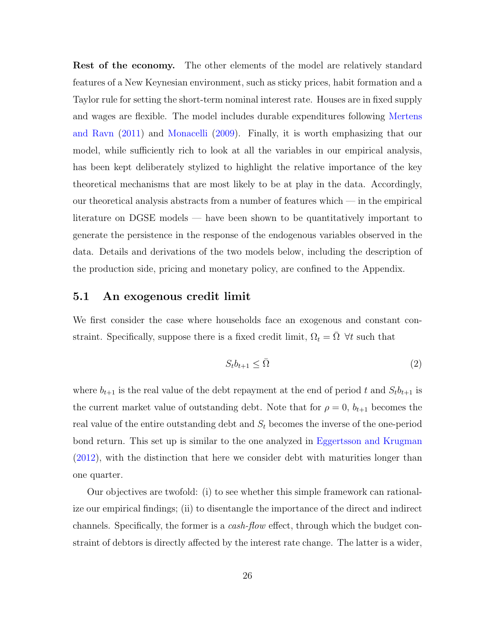Rest of the economy. The other elements of the model are relatively standard features of a New Keynesian environment, such as sticky prices, habit formation and a Taylor rule for setting the short-term nominal interest rate. Houses are in fixed supply and wages are flexible. The model includes durable expenditures following [Mertens](#page-41-13) [and Ravn](#page-41-13) [\(2011\)](#page-41-13) and [Monacelli](#page-41-14) [\(2009\)](#page-41-14). Finally, it is worth emphasizing that our model, while sufficiently rich to look at all the variables in our empirical analysis, has been kept deliberately stylized to highlight the relative importance of the key theoretical mechanisms that are most likely to be at play in the data. Accordingly, our theoretical analysis abstracts from a number of features which — in the empirical literature on DGSE models — have been shown to be quantitatively important to generate the persistence in the response of the endogenous variables observed in the data. Details and derivations of the two models below, including the description of the production side, pricing and monetary policy, are confined to the Appendix.

### 5.1 An exogenous credit limit

We first consider the case where households face an exogenous and constant constraint. Specifically, suppose there is a fixed credit limit,  $\Omega_t = \overline{\Omega}$   $\forall t$  such that

$$
S_t b_{t+1} \leq \bar{\Omega} \tag{2}
$$

where  $b_{t+1}$  is the real value of the debt repayment at the end of period t and  $S_t b_{t+1}$  is the current market value of outstanding debt. Note that for  $\rho = 0, b_{t+1}$  becomes the real value of the entire outstanding debt and  $S_t$  becomes the inverse of the one-period bond return. This set up is similar to the one analyzed in [Eggertsson and Krugman](#page-40-2) [\(2012\)](#page-40-2), with the distinction that here we consider debt with maturities longer than one quarter.

Our objectives are twofold: (i) to see whether this simple framework can rationalize our empirical findings; (ii) to disentangle the importance of the direct and indirect channels. Specifically, the former is a *cash-flow* effect, through which the budget constraint of debtors is directly affected by the interest rate change. The latter is a wider,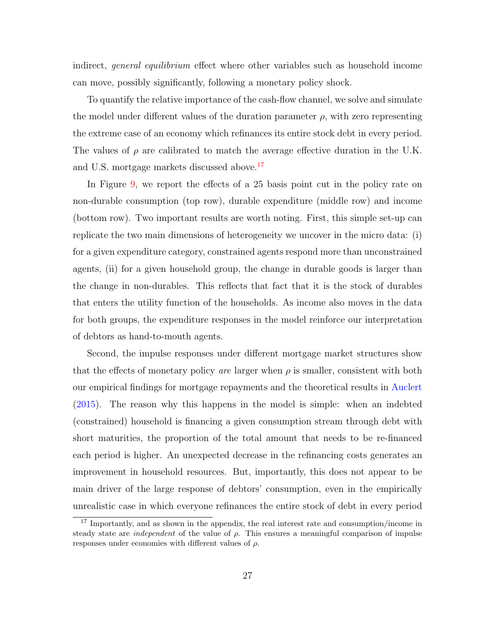indirect, general equilibrium effect where other variables such as household income can move, possibly significantly, following a monetary policy shock.

To quantify the relative importance of the cash-flow channel, we solve and simulate the model under different values of the duration parameter  $\rho$ , with zero representing the extreme case of an economy which refinances its entire stock debt in every period. The values of  $\rho$  are calibrated to match the average effective duration in the U.K. and U.S. mortgage markets discussed above.<sup>[17](#page-26-0)</sup>

In Figure [9,](#page-37-0) we report the effects of a 25 basis point cut in the policy rate on non-durable consumption (top row), durable expenditure (middle row) and income (bottom row). Two important results are worth noting. First, this simple set-up can replicate the two main dimensions of heterogeneity we uncover in the micro data: (i) for a given expenditure category, constrained agents respond more than unconstrained agents, (ii) for a given household group, the change in durable goods is larger than the change in non-durables. This reflects that fact that it is the stock of durables that enters the utility function of the households. As income also moves in the data for both groups, the expenditure responses in the model reinforce our interpretation of debtors as hand-to-mouth agents.

Second, the impulse responses under different mortgage market structures show that the effects of monetary policy are larger when  $\rho$  is smaller, consistent with both our empirical findings for mortgage repayments and the theoretical results in [Auclert](#page-39-3) [\(2015\)](#page-39-3). The reason why this happens in the model is simple: when an indebted (constrained) household is financing a given consumption stream through debt with short maturities, the proportion of the total amount that needs to be re-financed each period is higher. An unexpected decrease in the refinancing costs generates an improvement in household resources. But, importantly, this does not appear to be main driver of the large response of debtors' consumption, even in the empirically unrealistic case in which everyone refinances the entire stock of debt in every period

<span id="page-26-0"></span><sup>&</sup>lt;sup>17</sup> Importantly, and as shown in the appendix, the real interest rate and consumption/income in steady state are *independent* of the value of  $\rho$ . This ensures a meaningful comparison of impulse responses under economies with different values of  $\rho$ .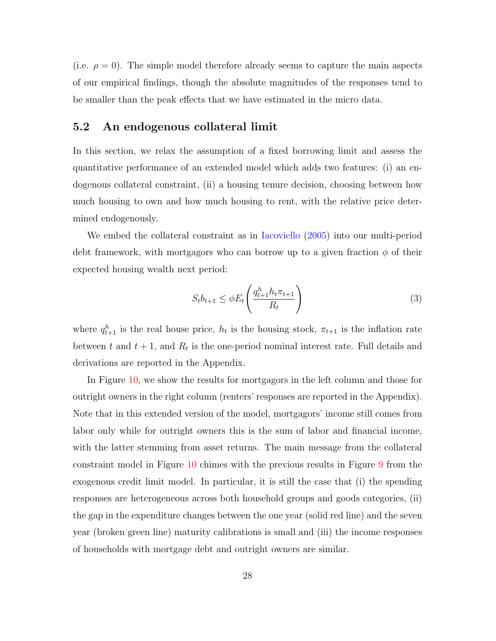(i.e.  $\rho = 0$ ). The simple model therefore already seems to capture the main aspects of our empirical findings, though the absolute magnitudes of the responses tend to be smaller than the peak effects that we have estimated in the micro data.

### 5.2 An endogenous collateral limit

In this section, we relax the assumption of a fixed borrowing limit and assess the quantitative performance of an extended model which adds two features: (i) an endogenous collateral constraint, (ii) a housing tenure decision, choosing between how much housing to own and how much housing to rent, with the relative price determined endogenously.

We embed the collateral constraint as in [Iacoviello](#page-40-1) [\(2005\)](#page-40-1) into our multi-period debt framework, with mortgagors who can borrow up to a given fraction  $\phi$  of their expected housing wealth next period:

$$
S_t b_{t+1} \le \phi E_t \left( \frac{q_{t+1}^h h_t \pi_{t+1}}{R_t} \right) \tag{3}
$$

where  $q_{t+1}^h$  is the real house price,  $h_t$  is the housing stock,  $\pi_{t+1}$  is the inflation rate between t and  $t + 1$ , and  $R_t$  is the one-period nominal interest rate. Full details and derivations are reported in the Appendix.

In Figure [10,](#page-38-0) we show the results for mortgagors in the left column and those for outright owners in the right column (renters' responses are reported in the Appendix). Note that in this extended version of the model, mortgagors' income still comes from labor only while for outright owners this is the sum of labor and financial income, with the latter stemming from asset returns. The main message from the collateral constraint model in Figure [10](#page-38-0) chimes with the previous results in Figure [9](#page-37-0) from the exogenous credit limit model. In particular, it is still the case that (i) the spending responses are heterogeneous across both household groups and goods categories, (ii) the gap in the expenditure changes between the one year (solid red line) and the seven year (broken green line) maturity calibrations is small and (iii) the income responses of households with mortgage debt and outright owners are similar.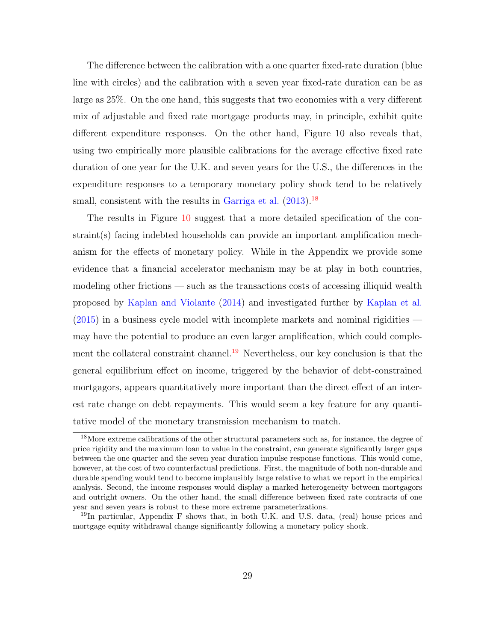The difference between the calibration with a one quarter fixed-rate duration (blue line with circles) and the calibration with a seven year fixed-rate duration can be as large as 25%. On the one hand, this suggests that two economies with a very different mix of adjustable and fixed rate mortgage products may, in principle, exhibit quite different expenditure responses. On the other hand, Figure 10 also reveals that, using two empirically more plausible calibrations for the average effective fixed rate duration of one year for the U.K. and seven years for the U.S., the differences in the expenditure responses to a temporary monetary policy shock tend to be relatively small, consistent with the results in [Garriga et al.](#page-40-7)  $(2013)$ <sup>[18](#page-28-0)</sup>

The results in Figure [10](#page-38-0) suggest that a more detailed specification of the constraint(s) facing indebted households can provide an important amplification mechanism for the effects of monetary policy. While in the Appendix we provide some evidence that a financial accelerator mechanism may be at play in both countries, modeling other frictions — such as the transactions costs of accessing illiquid wealth proposed by [Kaplan and Violante](#page-41-1) [\(2014\)](#page-41-1) and investigated further by [Kaplan et al.](#page-41-3) [\(2015\)](#page-41-3) in a business cycle model with incomplete markets and nominal rigidities may have the potential to produce an even larger amplification, which could comple-ment the collateral constraint channel.<sup>[19](#page-28-1)</sup> Nevertheless, our key conclusion is that the general equilibrium effect on income, triggered by the behavior of debt-constrained mortgagors, appears quantitatively more important than the direct effect of an interest rate change on debt repayments. This would seem a key feature for any quantitative model of the monetary transmission mechanism to match.

<span id="page-28-0"></span><sup>&</sup>lt;sup>18</sup>More extreme calibrations of the other structural parameters such as, for instance, the degree of price rigidity and the maximum loan to value in the constraint, can generate significantly larger gaps between the one quarter and the seven year duration impulse response functions. This would come, however, at the cost of two counterfactual predictions. First, the magnitude of both non-durable and durable spending would tend to become implausibly large relative to what we report in the empirical analysis. Second, the income responses would display a marked heterogeneity between mortgagors and outright owners. On the other hand, the small difference between fixed rate contracts of one year and seven years is robust to these more extreme parameterizations.

<span id="page-28-1"></span> $19$ In particular, Appendix F shows that, in both U.K. and U.S. data, (real) house prices and mortgage equity withdrawal change significantly following a monetary policy shock.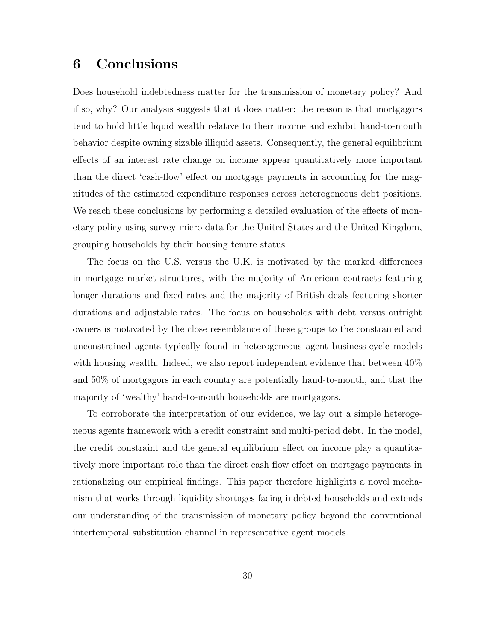## 6 Conclusions

Does household indebtedness matter for the transmission of monetary policy? And if so, why? Our analysis suggests that it does matter: the reason is that mortgagors tend to hold little liquid wealth relative to their income and exhibit hand-to-mouth behavior despite owning sizable illiquid assets. Consequently, the general equilibrium effects of an interest rate change on income appear quantitatively more important than the direct 'cash-flow' effect on mortgage payments in accounting for the magnitudes of the estimated expenditure responses across heterogeneous debt positions. We reach these conclusions by performing a detailed evaluation of the effects of monetary policy using survey micro data for the United States and the United Kingdom, grouping households by their housing tenure status.

The focus on the U.S. versus the U.K. is motivated by the marked differences in mortgage market structures, with the majority of American contracts featuring longer durations and fixed rates and the majority of British deals featuring shorter durations and adjustable rates. The focus on households with debt versus outright owners is motivated by the close resemblance of these groups to the constrained and unconstrained agents typically found in heterogeneous agent business-cycle models with housing wealth. Indeed, we also report independent evidence that between  $40\%$ and 50% of mortgagors in each country are potentially hand-to-mouth, and that the majority of 'wealthy' hand-to-mouth households are mortgagors.

To corroborate the interpretation of our evidence, we lay out a simple heterogeneous agents framework with a credit constraint and multi-period debt. In the model, the credit constraint and the general equilibrium effect on income play a quantitatively more important role than the direct cash flow effect on mortgage payments in rationalizing our empirical findings. This paper therefore highlights a novel mechanism that works through liquidity shortages facing indebted households and extends our understanding of the transmission of monetary policy beyond the conventional intertemporal substitution channel in representative agent models.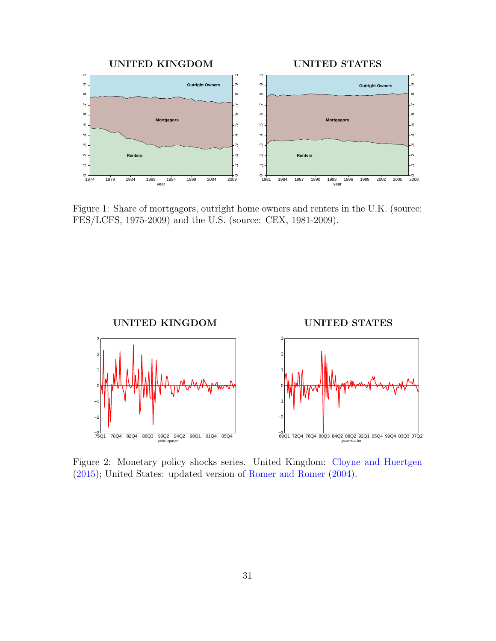

<span id="page-30-0"></span>Figure 1: Share of mortgagors, outright home owners and renters in the U.K. (source: FES/LCFS, 1975-2009) and the U.S. (source: CEX, 1981-2009).



<span id="page-30-1"></span>Figure 2: Monetary policy shocks series. United Kingdom: [Cloyne and Huertgen](#page-40-0) [\(2015\)](#page-40-0); United States: updated version of [Romer and Romer](#page-41-0) [\(2004\)](#page-41-0).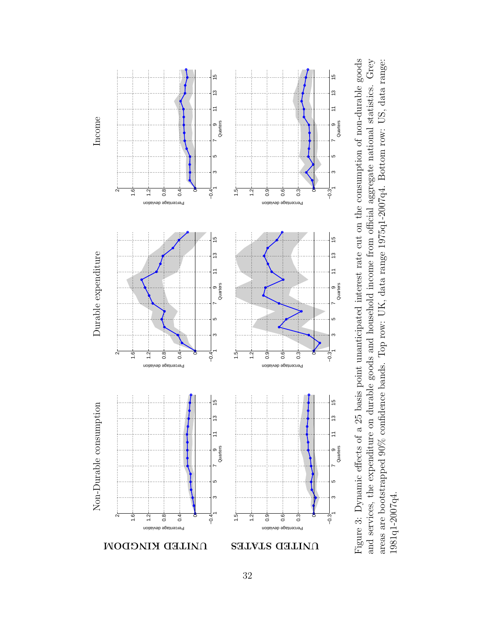

<span id="page-31-0"></span>Figure 3: Dynamic effects of a 25 basis point unanticipated interest rate cut on the consumption of non-durable goods and services, the expenditure on durable goods and household income from official aggregate national statistics. Grey areas are bootstrapped 90% confidence bands. Top row: UK, data range 1975q1-2007q4. Bottom row: US, data range: Figure 3: Dynamic effects of a 25 basis point unanticipated interest rate cut on the consumption of non-durable goods and services, the expenditure on durable goods and household income from official aggregate national statistics. Grey areas are bootstrapped 90% confidence bands. Top row: UK, data range 1975q1-2007q4. Bottom row: US, data range: 1981q1-2007q4. 1981q1-2007q4.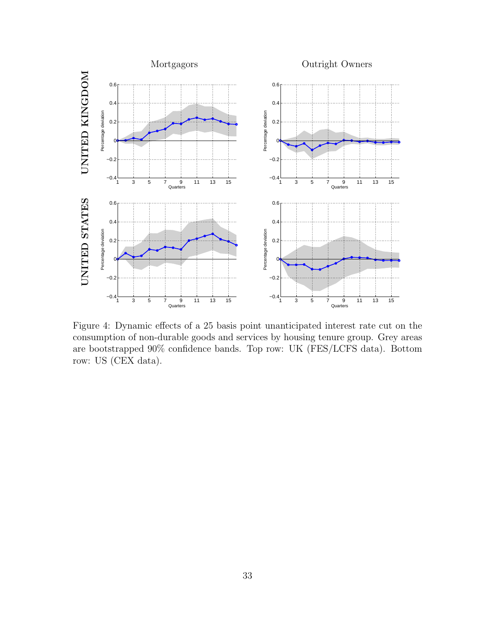

<span id="page-32-0"></span>Figure 4: Dynamic effects of a 25 basis point unanticipated interest rate cut on the consumption of non-durable goods and services by housing tenure group. Grey areas are bootstrapped 90% confidence bands. Top row: UK (FES/LCFS data). Bottom row: US (CEX data).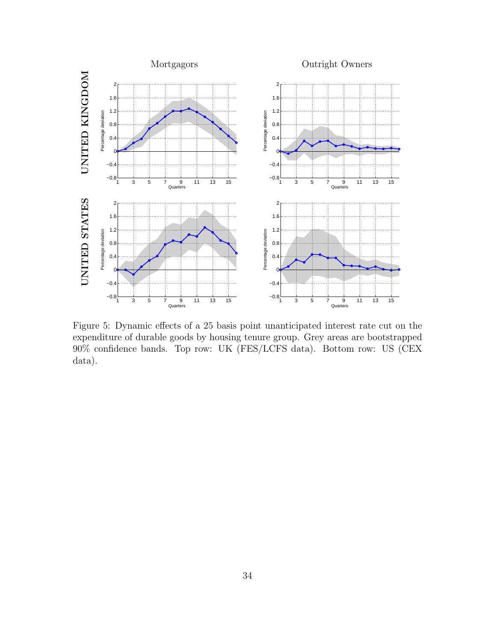

<span id="page-33-0"></span>Figure 5: Dynamic effects of a 25 basis point unanticipated interest rate cut on the expenditure of durable goods by housing tenure group. Grey areas are bootstrapped 90% confidence bands. Top row: UK (FES/LCFS data). Bottom row: US (CEX data).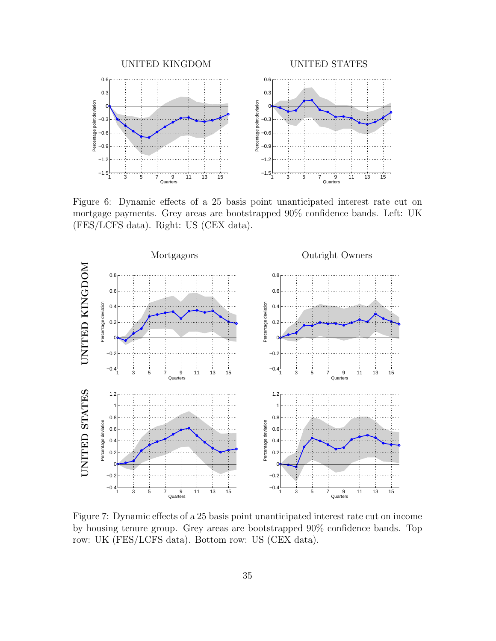

Figure 6: Dynamic effects of a 25 basis point unanticipated interest rate cut on mortgage payments. Grey areas are bootstrapped 90% confidence bands. Left: UK (FES/LCFS data). Right: US (CEX data).



<span id="page-34-0"></span>Figure 7: Dynamic effects of a 25 basis point unanticipated interest rate cut on income by housing tenure group. Grey areas are bootstrapped 90% confidence bands. Top row: UK (FES/LCFS data). Bottom row: US (CEX data).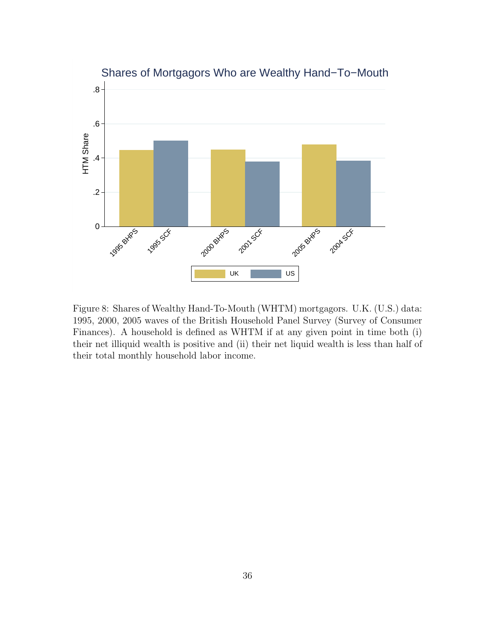

<span id="page-35-0"></span>Figure 8: Shares of Wealthy Hand-To-Mouth (WHTM) mortgagors. U.K. (U.S.) data: 1995, 2000, 2005 waves of the British Household Panel Survey (Survey of Consumer Finances). A household is defined as WHTM if at any given point in time both (i) their net illiquid wealth is positive and (ii) their net liquid wealth is less than half of their total monthly household labor income.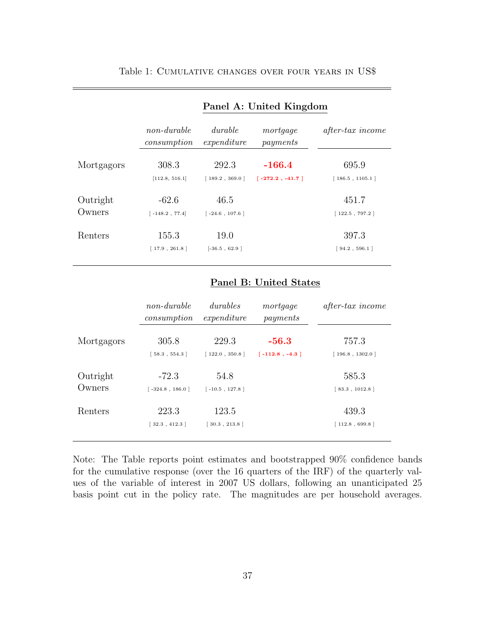|            | non-durable<br>consumption | durable<br>expenditure  | mortgage<br>payments | <i>after-tax income</i> |
|------------|----------------------------|-------------------------|----------------------|-------------------------|
| Mortgagors | 308.3                      | 292.3                   | $-166.4$             | 695.9                   |
|            | [112.8, 516.1]             | [189.2, 369.0]          | $[-272.2, -41.7]$    | [186.5, 1105.1]         |
| Outright   | $-62.6$                    | 46.5                    |                      | 451.7                   |
| Owners     | $[-148.2, 77.4]$           | $[-24.6, 107.6]$        |                      | [122.5, 797.2]          |
| Renters    | 155.3<br>[17.9, 261.8]     | 19.0<br>$[-36.5, 62.9]$ |                      | 397.3<br>94.2, 596.1    |

#### <span id="page-36-0"></span>Table 1: Cumulative changes over four years in US\$

Panel A: United Kingdom

# Panel B: United States

|            | non-durable<br>consumption | durables<br>expenditure | mortgage<br>payments         | <i>after-tax income</i> |
|------------|----------------------------|-------------------------|------------------------------|-------------------------|
| Mortgagors | 305.8                      | 229.3                   | $-56.3$                      | 757.3                   |
|            | [58.3, 554.3]              | [122.0, 350.8]          | $\lceil -112.8, -4.3 \rceil$ | [196.8, 1302.0]         |
| Outright   | $-72.3$                    | 54.8                    |                              | 585.3                   |
| Owners     | $[-324.8, 186.0]$          | $[-10.5, 127.8]$        |                              | [83.3, 1012.8]          |
| Renters    | 223.3<br>[32.3, 412.3]     | 123.5<br>[30.3, 213.8]  |                              | 439.3<br>[112.8, 699.8] |

Note: The Table reports point estimates and bootstrapped 90% confidence bands for the cumulative response (over the 16 quarters of the IRF) of the quarterly values of the variable of interest in 2007 US dollars, following an unanticipated 25 basis point cut in the policy rate. The magnitudes are per household averages.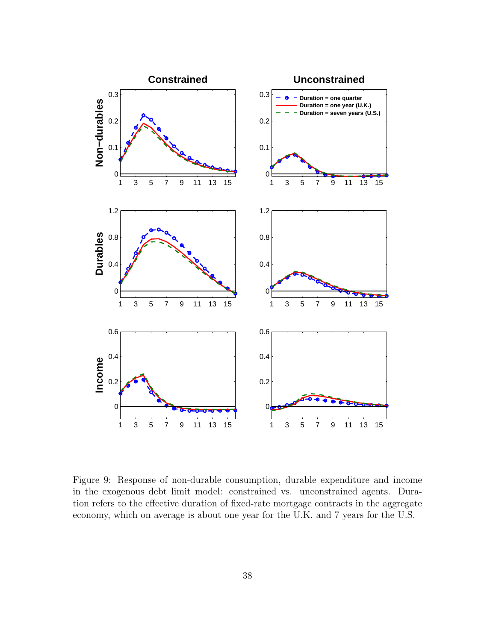

<span id="page-37-0"></span>Figure 9: Response of non-durable consumption, durable expenditure and income in the exogenous debt limit model: constrained vs. unconstrained agents. Duration refers to the effective duration of fixed-rate mortgage contracts in the aggregate economy, which on average is about one year for the U.K. and 7 years for the U.S.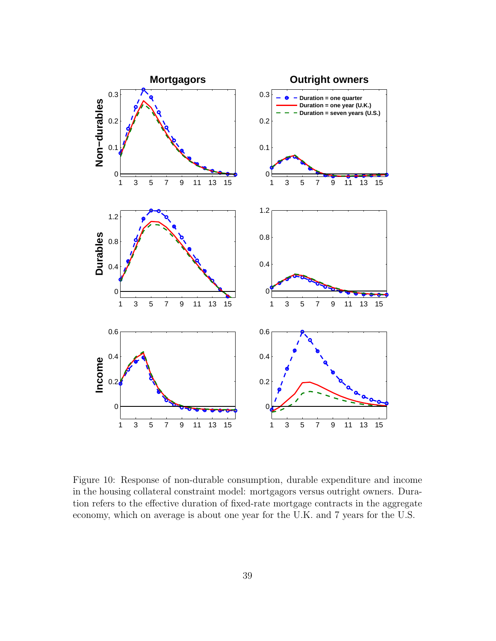

<span id="page-38-0"></span>Figure 10: Response of non-durable consumption, durable expenditure and income in the housing collateral constraint model: mortgagors versus outright owners. Duration refers to the effective duration of fixed-rate mortgage contracts in the aggregate economy, which on average is about one year for the U.K. and 7 years for the U.S.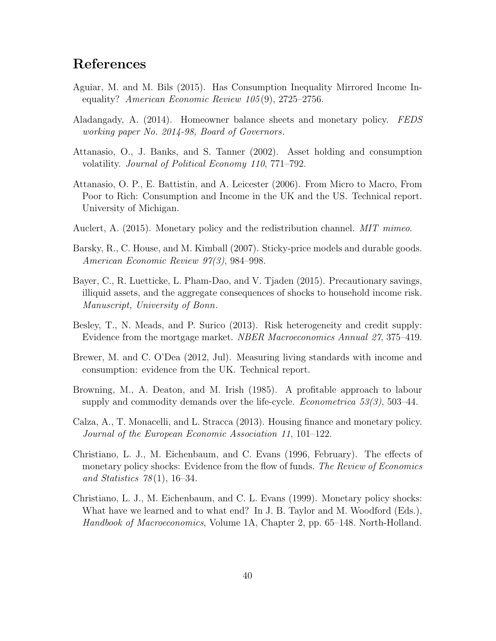## References

- <span id="page-39-4"></span>Aguiar, M. and M. Bils (2015). Has Consumption Inequality Mirrored Income Inequality? American Economic Review 105 (9), 2725–2756.
- <span id="page-39-1"></span>Aladangady, A. (2014). Homeowner balance sheets and monetary policy. FEDS working paper No. 2014-98, Board of Governors.
- <span id="page-39-12"></span>Attanasio, O., J. Banks, and S. Tanner (2002). Asset holding and consumption volatility. Journal of Political Economy 110, 771–792.
- <span id="page-39-5"></span>Attanasio, O. P., E. Battistin, and A. Leicester (2006). From Micro to Macro, From Poor to Rich: Consumption and Income in the UK and the US. Technical report. University of Michigan.
- <span id="page-39-3"></span>Auclert, A. (2015). Monetary policy and the redistribution channel. *MIT mimeo.*
- <span id="page-39-10"></span>Barsky, R., C. House, and M. Kimball (2007). Sticky-price models and durable goods. American Economic Review 97(3), 984–998.
- <span id="page-39-0"></span>Bayer, C., R. Luetticke, L. Pham-Dao, and V. Tjaden (2015). Precautionary savings, illiquid assets, and the aggregate consequences of shocks to household income risk. Manuscript, University of Bonn.
- <span id="page-39-11"></span>Besley, T., N. Meads, and P. Surico (2013). Risk heterogeneity and credit supply: Evidence from the mortgage market. NBER Macroeconomics Annual 27, 375–419.
- <span id="page-39-6"></span>Brewer, M. and C. O'Dea (2012, Jul). Measuring living standards with income and consumption: evidence from the UK. Technical report.
- <span id="page-39-7"></span>Browning, M., A. Deaton, and M. Irish (1985). A profitable approach to labour supply and commodity demands over the life-cycle. *Econometrica*  $53(3)$ ,  $503-44$ .
- <span id="page-39-2"></span>Calza, A., T. Monacelli, and L. Stracca (2013). Housing finance and monetary policy. Journal of the European Economic Association 11, 101–122.
- <span id="page-39-8"></span>Christiano, L. J., M. Eichenbaum, and C. Evans (1996, February). The effects of monetary policy shocks: Evidence from the flow of funds. The Review of Economics and Statistics  $78(1)$ , 16–34.
- <span id="page-39-9"></span>Christiano, L. J., M. Eichenbaum, and C. L. Evans (1999). Monetary policy shocks: What have we learned and to what end? In J. B. Taylor and M. Woodford (Eds.), Handbook of Macroeconomics, Volume 1A, Chapter 2, pp. 65–148. North-Holland.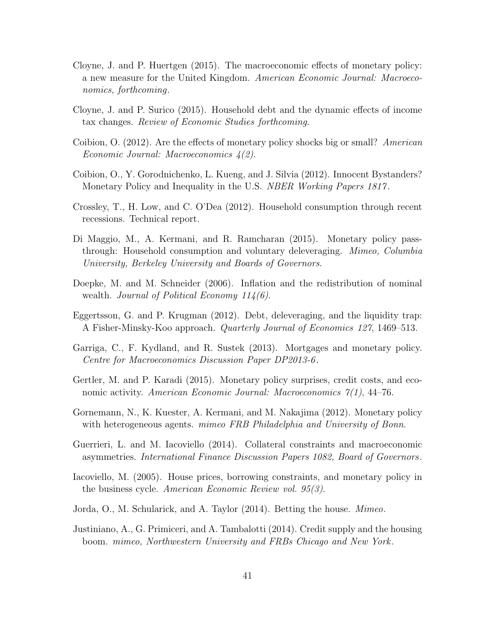- <span id="page-40-0"></span>Cloyne, J. and P. Huertgen (2015). The macroeconomic effects of monetary policy: a new measure for the United Kingdom. American Economic Journal: Macroeconomics, forthcoming.
- <span id="page-40-6"></span>Cloyne, J. and P. Surico (2015). Household debt and the dynamic effects of income tax changes. Review of Economic Studies forthcoming.
- <span id="page-40-12"></span>Coibion, O. (2012). Are the effects of monetary policy shocks big or small? American Economic Journal: Macroeconomics 4(2).
- <span id="page-40-9"></span>Coibion, O., Y. Gorodnichenko, L. Kueng, and J. Silvia (2012). Innocent Bystanders? Monetary Policy and Inequality in the U.S. NBER Working Papers 1817.
- <span id="page-40-11"></span>Crossley, T., H. Low, and C. O'Dea (2012). Household consumption through recent recessions. Technical report.
- <span id="page-40-8"></span>Di Maggio, M., A. Kermani, and R. Ramcharan (2015). Monetary policy passthrough: Household consumption and voluntary deleveraging. Mimeo, Columbia University, Berkeley University and Boards of Governors.
- <span id="page-40-14"></span>Doepke, M. and M. Schneider (2006). Inflation and the redistribution of nominal wealth. Journal of Political Economy  $114(6)$ .
- <span id="page-40-2"></span>Eggertsson, G. and P. Krugman (2012). Debt, deleveraging, and the liquidity trap: A Fisher-Minsky-Koo approach. Quarterly Journal of Economics 127, 1469–513.
- <span id="page-40-7"></span>Garriga, C., F. Kydland, and R. Sustek (2013). Mortgages and monetary policy. Centre for Macroeconomics Discussion Paper DP2013-6 .
- <span id="page-40-13"></span>Gertler, M. and P. Karadi (2015). Monetary policy surprises, credit costs, and economic activity. American Economic Journal: Macroeconomics 7(1), 44–76.
- <span id="page-40-10"></span>Gornemann, N., K. Kuester, A. Kermani, and M. Nakajima (2012). Monetary policy with heterogeneous agents. *mimeo FRB Philadelphia and University of Bonn*.
- <span id="page-40-3"></span>Guerrieri, L. and M. Iacoviello (2014). Collateral constraints and macroeconomic asymmetries. International Finance Discussion Papers 1082, Board of Governors.
- <span id="page-40-1"></span>Iacoviello, M. (2005). House prices, borrowing constraints, and monetary policy in the business cycle. American Economic Review vol. 95(3).
- <span id="page-40-4"></span>Jorda, O., M. Schularick, and A. Taylor (2014). Betting the house. Mimeo.
- <span id="page-40-5"></span>Justiniano, A., G. Primiceri, and A. Tambalotti (2014). Credit supply and the housing boom. mimeo, Northwestern University and FRBs Chicago and New York .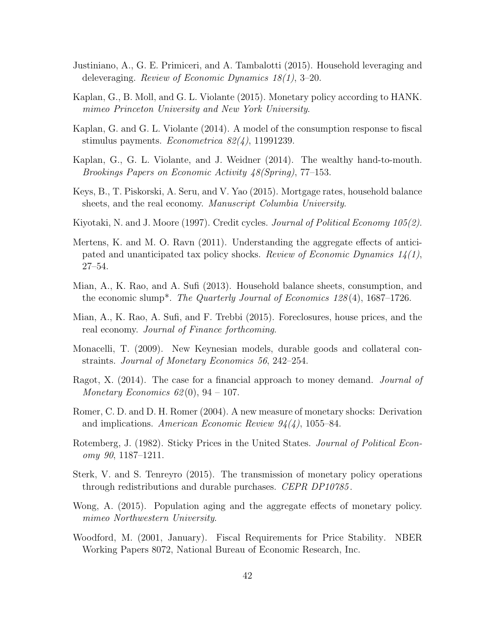- <span id="page-41-7"></span>Justiniano, A., G. E. Primiceri, and A. Tambalotti (2015). Household leveraging and deleveraging. Review of Economic Dynamics 18(1), 3–20.
- <span id="page-41-3"></span>Kaplan, G., B. Moll, and G. L. Violante (2015). Monetary policy according to HANK. mimeo Princeton University and New York University.
- <span id="page-41-1"></span>Kaplan, G. and G. L. Violante (2014). A model of the consumption response to fiscal stimulus payments. Econometrica 82(4), 11991239.
- <span id="page-41-11"></span>Kaplan, G., G. L. Violante, and J. Weidner (2014). The wealthy hand-to-mouth. Brookings Papers on Economic Activity 48(Spring), 77–153.
- <span id="page-41-8"></span>Keys, B., T. Piskorski, A. Seru, and V. Yao (2015). Mortgage rates, household balance sheets, and the real economy. Manuscript Columbia University.
- <span id="page-41-2"></span>Kiyotaki, N. and J. Moore (1997). Credit cycles. *Journal of Political Economy 105(2)*.
- <span id="page-41-13"></span>Mertens, K. and M. O. Ravn (2011). Understanding the aggregate effects of anticipated and unanticipated tax policy shocks. Review of Economic Dynamics  $14(1)$ , 27–54.
- <span id="page-41-5"></span>Mian, A., K. Rao, and A. Sufi (2013). Household balance sheets, consumption, and the economic slump<sup>\*</sup>. The Quarterly Journal of Economics  $128(4)$ ,  $1687-1726$ .
- <span id="page-41-6"></span>Mian, A., K. Rao, A. Sufi, and F. Trebbi (2015). Foreclosures, house prices, and the real economy. Journal of Finance forthcoming.
- <span id="page-41-14"></span>Monacelli, T. (2009). New Keynesian models, durable goods and collateral constraints. Journal of Monetary Economics 56, 242–254.
- <span id="page-41-4"></span>Ragot, X. (2014). The case for a financial approach to money demand. *Journal of* Monetary Economics  $62(0)$ , 94 – 107.
- <span id="page-41-0"></span>Romer, C. D. and D. H. Romer (2004). A new measure of monetary shocks: Derivation and implications. American Economic Review  $94(4)$ , 1055–84.
- <span id="page-41-15"></span>Rotemberg, J. (1982). Sticky Prices in the United States. *Journal of Political Econ*omy 90, 1187–1211.
- <span id="page-41-9"></span>Sterk, V. and S. Tenreyro (2015). The transmission of monetary policy operations through redistributions and durable purchases. CEPR DP10785 .
- <span id="page-41-10"></span>Wong, A. (2015). Population aging and the aggregate effects of monetary policy. mimeo Northwestern University.
- <span id="page-41-12"></span>Woodford, M. (2001, January). Fiscal Requirements for Price Stability. NBER Working Papers 8072, National Bureau of Economic Research, Inc.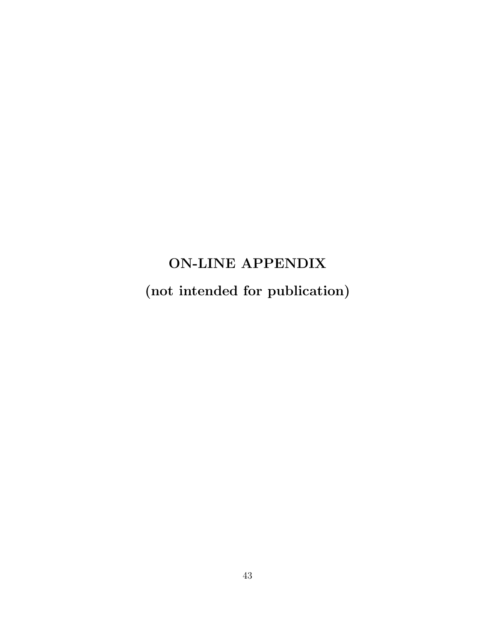# ON-LINE APPENDIX (not intended for publication)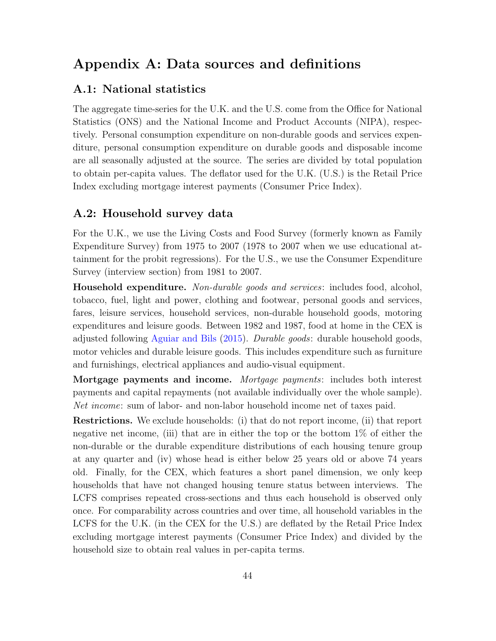### Appendix A: Data sources and definitions

### A.1: National statistics

The aggregate time-series for the U.K. and the U.S. come from the Office for National Statistics (ONS) and the National Income and Product Accounts (NIPA), respectively. Personal consumption expenditure on non-durable goods and services expenditure, personal consumption expenditure on durable goods and disposable income are all seasonally adjusted at the source. The series are divided by total population to obtain per-capita values. The deflator used for the U.K. (U.S.) is the Retail Price Index excluding mortgage interest payments (Consumer Price Index).

### A.2: Household survey data

For the U.K., we use the Living Costs and Food Survey (formerly known as Family Expenditure Survey) from 1975 to 2007 (1978 to 2007 when we use educational attainment for the probit regressions). For the U.S., we use the Consumer Expenditure Survey (interview section) from 1981 to 2007.

**Household expenditure.** Non-durable goods and services: includes food, alcohol, tobacco, fuel, light and power, clothing and footwear, personal goods and services, fares, leisure services, household services, non-durable household goods, motoring expenditures and leisure goods. Between 1982 and 1987, food at home in the CEX is adjusted following [Aguiar and Bils](#page-39-4) [\(2015\)](#page-39-4). Durable goods: durable household goods, motor vehicles and durable leisure goods. This includes expenditure such as furniture and furnishings, electrical appliances and audio-visual equipment.

Mortgage payments and income. *Mortgage payments*: includes both interest payments and capital repayments (not available individually over the whole sample). Net income: sum of labor- and non-labor household income net of taxes paid.

Restrictions. We exclude households: (i) that do not report income, (ii) that report negative net income, (iii) that are in either the top or the bottom 1% of either the non-durable or the durable expenditure distributions of each housing tenure group at any quarter and (iv) whose head is either below 25 years old or above 74 years old. Finally, for the CEX, which features a short panel dimension, we only keep households that have not changed housing tenure status between interviews. The LCFS comprises repeated cross-sections and thus each household is observed only once. For comparability across countries and over time, all household variables in the LCFS for the U.K. (in the CEX for the U.S.) are deflated by the Retail Price Index excluding mortgage interest payments (Consumer Price Index) and divided by the household size to obtain real values in per-capita terms.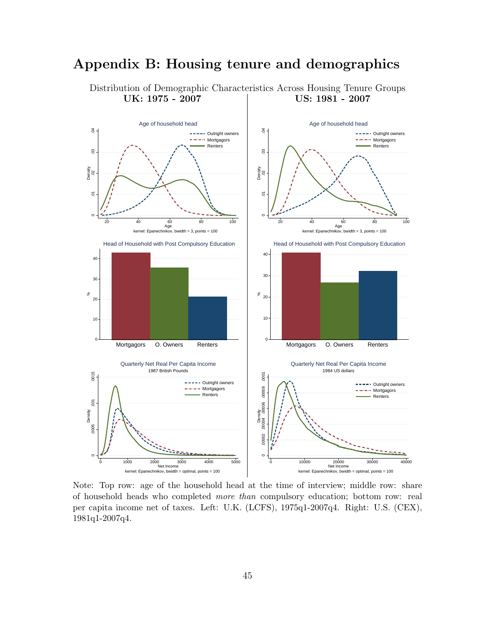#### Age of household head Age of household head g. \$ .01 .02 .03 .04 .01 .02 .03 .04 - Outright owners ----- Outright owners  $---$  Mortgagors  $---$  Mortgagors **Renters** Renters  $\mathbb{S}^2$  $\overline{0}$ Density<br>.02 Density<br>.02  $\tilde{\circ}$ δ.  $\circ$  $\epsilon$ 20 40 60 80 100 Age kernel: Epanechnikov, bwidth = 3, points = 100 20 40 60 80 100 Age kernel: Epanechnikov, bwidth = 3, points = 100 Head of Household with Post Compulsory Education Head of Household with Post Compulsory Education 40 40 30 30 %% $20 -$ 20 10 10 0  $\Omega$ Mortgagors O. Owners Renters Mortgagors O. Owners Renters Quarterly Net Real Per Capita Income Quarterly Net Real Per Capita Income 1987 British Pounds 1984 US dollars .0015 .0005 .001 .0015  $.0001$  .00002 .00004 .00006 .00008 .0001 Outright owners • Outright owners - Mortgagors .00008 --- Mortgagors **Renters** Renters  $500$ Density<br>.00004 .00006 Density 0005 00002  $\circ$ 0 1000 2000 3000 4000 5000 Net Income 0 10000 20000 30000 40000 Net Income kernel: Epanechnikov, bwidth = optimal, points = 100 kernel: Epanechnikov, bwidth = optimal, points = 100

# Appendix B: Housing tenure and demographics

Distribution of Demographic Characteristics Across Housing Tenure Groups UK: 1975 - 2007 US: 1981 - 2007

Note: Top row: age of the household head at the time of interview; middle row: share of household heads who completed more than compulsory education; bottom row: real per capita income net of taxes. Left: U.K. (LCFS), 1975q1-2007q4. Right: U.S. (CEX), 1981q1-2007q4.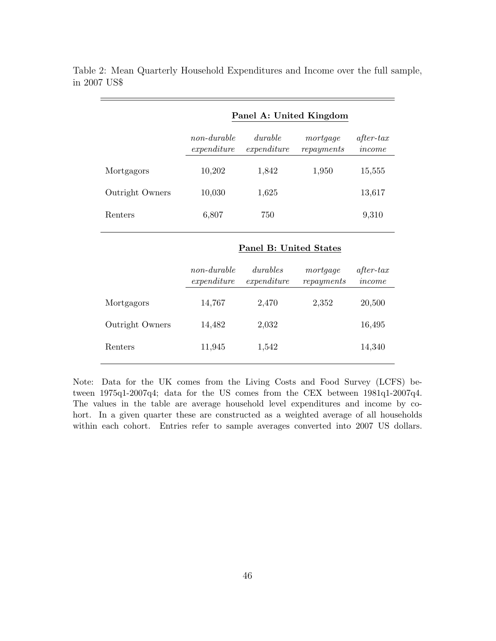|                 | Panel A: United Kingdom    |                               |                        |                        |  |
|-----------------|----------------------------|-------------------------------|------------------------|------------------------|--|
|                 | non-durable<br>expenditure | <i>durable</i><br>expenditure | mortgage<br>repayments | $after$ -tax<br>income |  |
| Mortgagors      | 10,202                     | 1,842                         | 1,950                  | 15,555                 |  |
| Outright Owners | 10,030                     | 1,625                         |                        | 13,617                 |  |
| Renters         | 6,807                      | 750                           |                        | 9,310                  |  |

<span id="page-45-0"></span>Table 2: Mean Quarterly Household Expenditures and Income over the full sample, in 2007 US\$

|  | <b>Panel B: United States</b> |  |
|--|-------------------------------|--|
|  |                               |  |

| non-durable<br>expenditure | durables<br>expenditure | mortgage<br>repayments | $after$ -tax<br>income |
|----------------------------|-------------------------|------------------------|------------------------|
| 14,767                     | 2,470                   | 2,352                  | 20,500                 |
| 14,482                     | 2,032                   |                        | 16,495                 |
| 11,945                     | 1,542                   |                        | 14,340                 |
|                            |                         |                        |                        |

Note: Data for the UK comes from the Living Costs and Food Survey (LCFS) between 1975q1-2007q4; data for the US comes from the CEX between 1981q1-2007q4. The values in the table are average household level expenditures and income by cohort. In a given quarter these are constructed as a weighted average of all households within each cohort. Entries refer to sample averages converted into 2007 US dollars.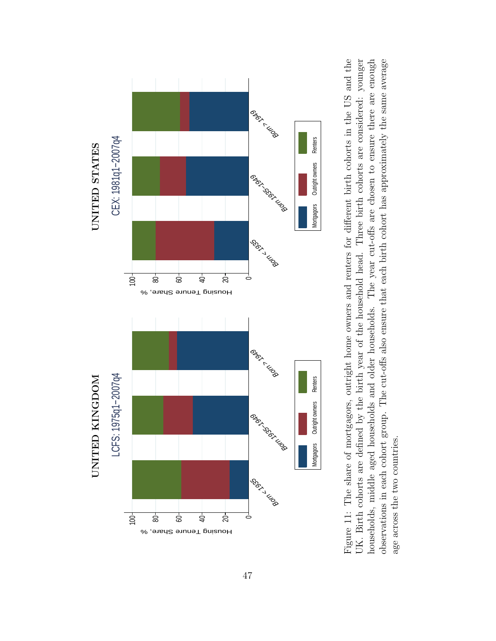

<span id="page-46-0"></span>Figure 11: The share of mortgagors, outright home owners and renters for different birth cohorts in the US and the UK. Birth cohorts are defined by the birth year of the household head. Three birth cohorts are considered: younger households, middle aged households and older households. The year cut-offs are chosen to ensure there are enough observations in each cohort group. The cut-offs also ensure that each birth cohort has approximately the same average Figure 11: The share of mortgagors, outright home owners and renters for different birth cohorts in the US and the UK. Birth cohorts are defined by the birth year of the household head. Three birth cohorts are considered: younger households, middle aged households and older households. The year cut-offs are chosen to ensure there are enough observations in each cohort group. The cut-offs also ensure that each birth cohort has approximately the same average age across the two countries. age across the two countries.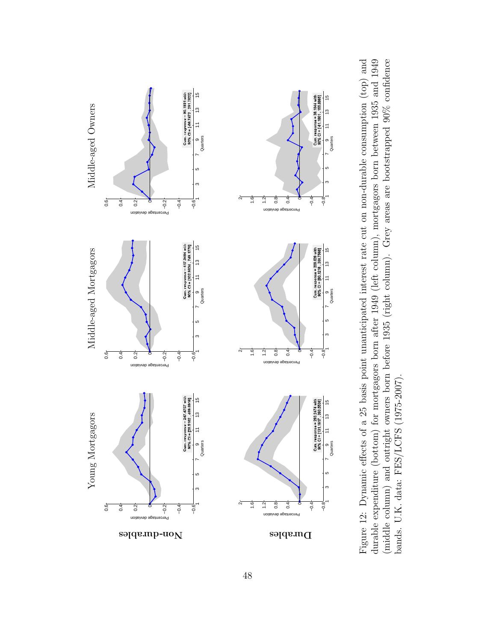

<span id="page-47-0"></span>Figure 12: Dynamic effects of a 25 basis point unanticipated interest rate cut on non-durable consumption (top) and durable expenditure (bottom) for mortgagors born after 1949 (left column), mortgagors born between 1935 and 1949 (middle column) and outright owners born before 1935 (right column). Grey areas are bootstrapped 90% confidence Figure 12: Dynamic effects of a 25 basis point unanticipated interest rate cut on non-durable consumption (top) and durable expenditure (bottom) for mortgagors born after 1949 (left column), mortgagors born between 1935 and 1949 (middle column) and outright owners born before 1935 (right column). Grey areas are bootstrapped 90% confidence bands. U.K. data: FES/LCFS (1975-2007). bands. U.K. data: FES/LCFS (1975-2007).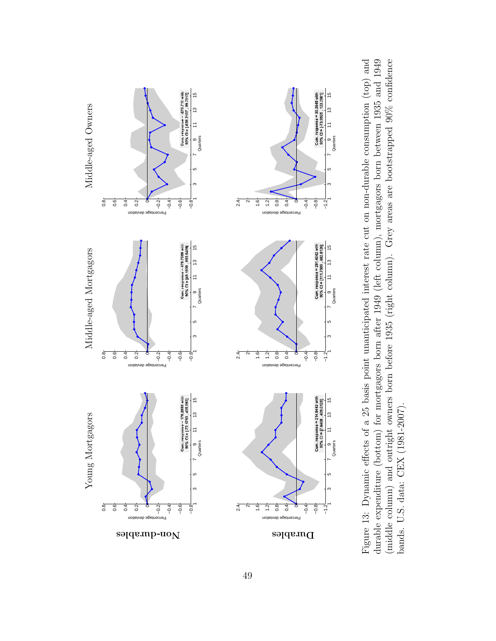

<span id="page-48-0"></span>Figure 13: Dynamic effects of a 25 basis point unanticipated interest rate cut on non-durable consumption (top) and durable expenditure (bottom) for mortgagors born after 1949 (left column), mortgagors born between 1935 and 1949 (middle column) and outright owners born before 1935 (right column). Grey areas are bootstrapped 90% confidence Figure 13: Dynamic effects of a 25 basis point unanticipated interest rate cut on non-durable consumption (top) and durable expenditure (bottom) for mortgagors born after 1949 (left column), mortgagors born between 1935 and 1949 (middle column) and outright owners born before 1935 (right column). Grey areas are bootstrapped 90% confidence bands. U.S. data: CEX (1981-2007). bands. U.S. data: CEX (1981-2007).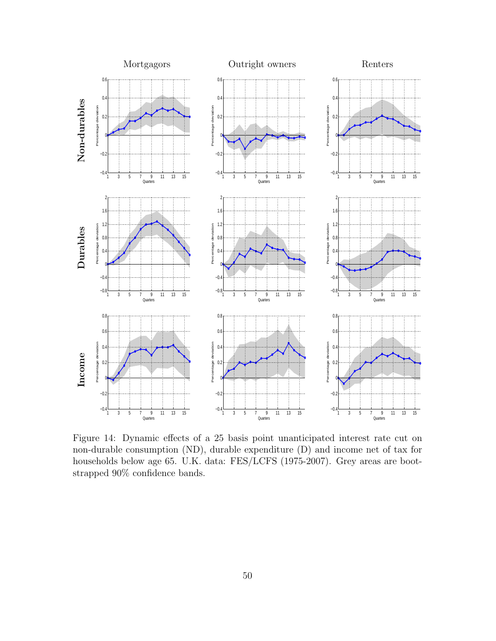

Figure 14: Dynamic effects of a 25 basis point unanticipated interest rate cut on non-durable consumption (ND), durable expenditure (D) and income net of tax for households below age 65. U.K. data: FES/LCFS (1975-2007). Grey areas are bootstrapped 90% confidence bands.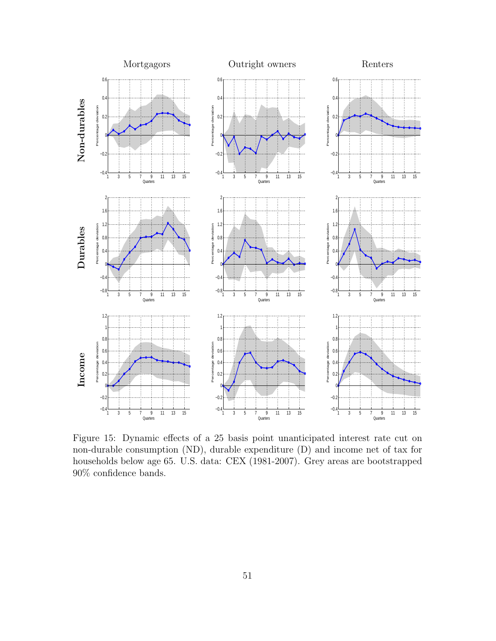

Figure 15: Dynamic effects of a 25 basis point unanticipated interest rate cut on non-durable consumption (ND), durable expenditure (D) and income net of tax for households below age 65. U.S. data: CEX (1981-2007). Grey areas are bootstrapped 90% confidence bands.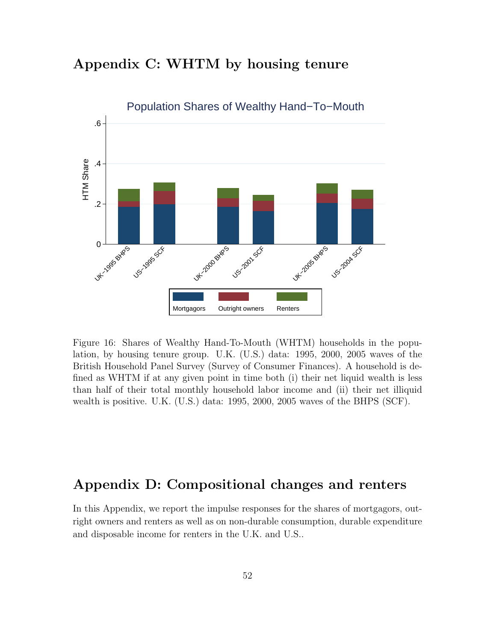### Appendix C: WHTM by housing tenure



<span id="page-51-0"></span>Figure 16: Shares of Wealthy Hand-To-Mouth (WHTM) households in the population, by housing tenure group. U.K. (U.S.) data: 1995, 2000, 2005 waves of the British Household Panel Survey (Survey of Consumer Finances). A household is defined as WHTM if at any given point in time both (i) their net liquid wealth is less than half of their total monthly household labor income and (ii) their net illiquid wealth is positive. U.K. (U.S.) data: 1995, 2000, 2005 waves of the BHPS (SCF).

# Appendix D: Compositional changes and renters

In this Appendix, we report the impulse responses for the shares of mortgagors, outright owners and renters as well as on non-durable consumption, durable expenditure and disposable income for renters in the U.K. and U.S..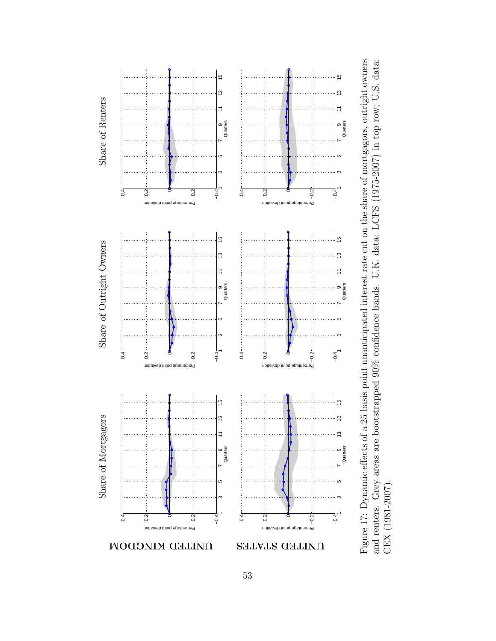

<span id="page-52-0"></span>Figure 17: Dynamic effects of a 25 basis point unanticipated interest rate cut on the share of mortgagors, outright owners and renters. Grey areas are bootstrapped 90% confidence bands. U.K. data: LCFS (1975-2007) in top row; U.S. data: Figure 17: Dynamic effects of a 25 basis point unanticipated interest rate cut on the share of mortgagors, outright owners and renters. Grey areas are bootstrapped 90% confidence bands. U.K. data: LCFS (1975-2007) in top row; U.S. data: CEX (1981-2007). CEX (1981-2007).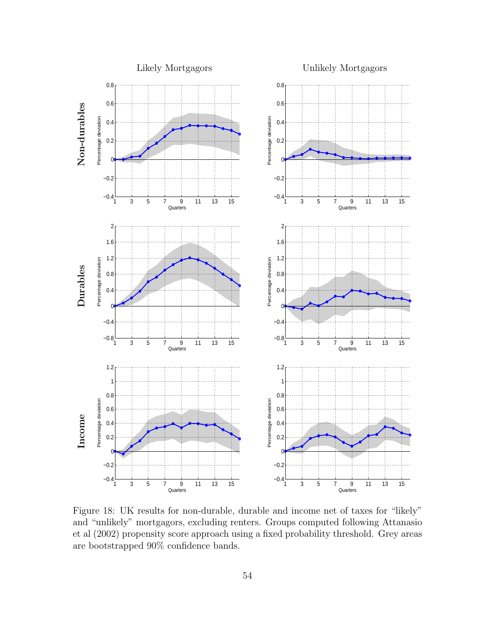

<span id="page-53-0"></span>Figure 18: UK results for non-durable, durable and income net of taxes for "likely" and "unlikely" mortgagors, excluding renters. Groups computed following Attanasio et al (2002) propensity score approach using a fixed probability threshold. Grey areas are bootstrapped 90% confidence bands.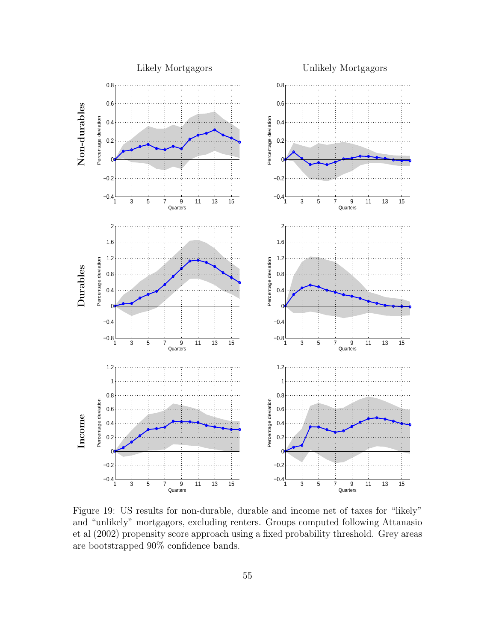

<span id="page-54-0"></span>Figure 19: US results for non-durable, durable and income net of taxes for "likely" and "unlikely" mortgagors, excluding renters. Groups computed following Attanasio et al (2002) propensity score approach using a fixed probability threshold. Grey areas are bootstrapped 90% confidence bands.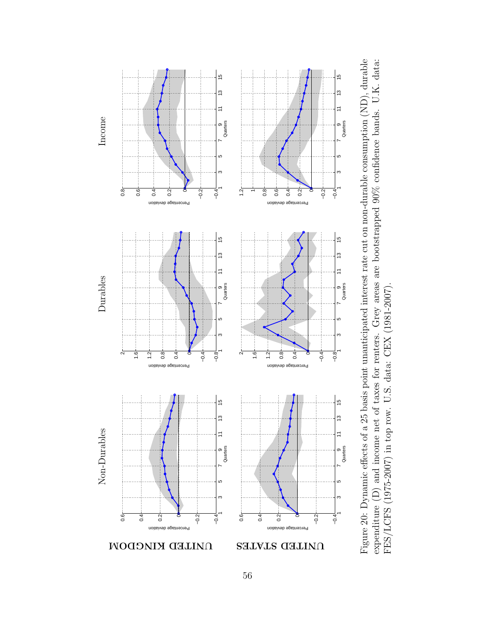

<span id="page-55-0"></span>Figure 20: Dynamic effects of a 25 basis point unanticipated interest rate cut on non-durable consumption (ND), durable expenditure (D) and income net of taxes for renters. Grey areas are bootstrapped  $90\%$  confidence bands. U.K. data: Figure 20: Dynamic effects of a 25 basis point unanticipated interest rate cut on non-durable consumption (ND), durable expenditure (D) and income net of taxes for renters. Grey areas are bootstrapped 90% confidence bands. U.K. data: FES/LCFS (1975-2007) in top row. U.S. data: CEX (1981-2007). FES/LCFS (1975-2007) in top row. U.S. data: CEX (1981-2007).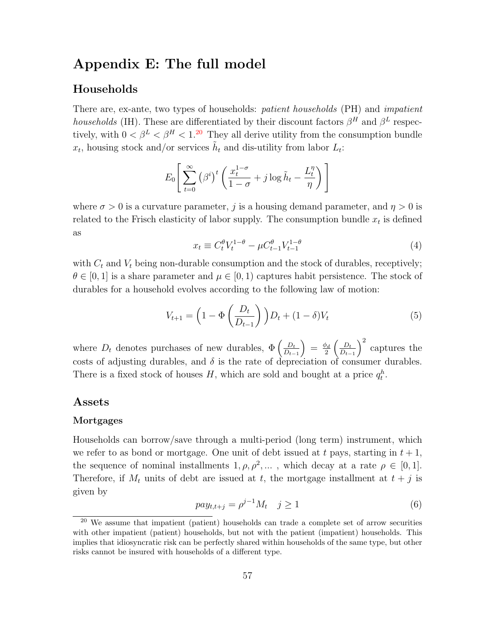### Appendix E: The full model

### Households

There are, ex-ante, two types of households: *patient households* (PH) and *impatient* households (IH). These are differentiated by their discount factors  $\beta^H$  and  $\beta^L$  respectively, with  $0 < \beta^L < \beta^H < 1^{20}$  $0 < \beta^L < \beta^H < 1^{20}$  $0 < \beta^L < \beta^H < 1^{20}$  They all derive utility from the consumption bundle  $x_t$ , housing stock and/or services  $\tilde{h}_t$  and dis-utility from labor  $L_t$ :

$$
E_0\left[\sum_{t=0}^{\infty} (\beta^i)^t \left(\frac{x_t^{1-\sigma}}{1-\sigma} + j\log \tilde{h}_t - \frac{L_t^{\eta}}{\eta}\right)\right]
$$

where  $\sigma > 0$  is a curvature parameter, j is a housing demand parameter, and  $\eta > 0$  is related to the Frisch elasticity of labor supply. The consumption bundle  $x_t$  is defined as

$$
x_t \equiv C_t^{\theta} V_t^{1-\theta} - \mu C_{t-1}^{\theta} V_{t-1}^{1-\theta}
$$
\n
$$
\tag{4}
$$

with  $C_t$  and  $V_t$  being non-durable consumption and the stock of durables, receptively;  $\theta \in [0, 1]$  is a share parameter and  $\mu \in [0, 1)$  captures habit persistence. The stock of durables for a household evolves according to the following law of motion:

<span id="page-56-1"></span>
$$
V_{t+1} = \left(1 - \Phi\left(\frac{D_t}{D_{t-1}}\right)\right)D_t + (1 - \delta)V_t
$$
\n(5)

where  $D_t$  denotes purchases of new durables,  $\Phi\left(\frac{D_t}{D_t}\right)$  $D_{t-1}$  $=\frac{\phi_d}{2}$  $rac{b_d}{2}$   $\left(\frac{D_t}{D_{t-}}\right)$  $D_{t-1}$  $\int_{0}^{2}$  captures the costs of adjusting durables, and  $\delta$  is the rate of depreciation of consumer durables. There is a fixed stock of houses  $H$ , which are sold and bought at a price  $q_t^h$ .

### Assets

#### Mortgages

Households can borrow/save through a multi-period (long term) instrument, which we refer to as bond or mortgage. One unit of debt issued at t pays, starting in  $t + 1$ , the sequence of nominal installments  $1, \rho, \rho^2, \dots$ , which decay at a rate  $\rho \in [0, 1]$ . Therefore, if  $M_t$  units of debt are issued at t, the mortgage installment at  $t + j$  is given by

$$
pay_{t,t+j} = \rho^{j-1} M_t \quad j \ge 1
$$
\n<sup>(6)</sup>

<span id="page-56-0"></span><sup>&</sup>lt;sup>20</sup> We assume that impatient (patient) households can trade a complete set of arrow securities with other impatient (patient) households, but not with the patient (impatient) households. This implies that idiosyncratic risk can be perfectly shared within households of the same type, but other risks cannot be insured with households of a different type.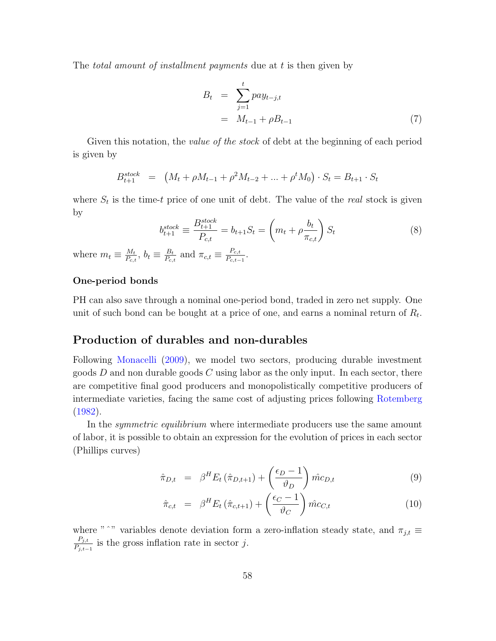The *total amount of installment payments* due at  $t$  is then given by

<span id="page-57-0"></span>
$$
B_t = \sum_{j=1}^t p a y_{t-j,t}
$$
  
=  $M_{t-1} + \rho B_{t-1}$  (7)

Given this notation, the *value of the stock* of debt at the beginning of each period is given by

$$
B_{t+1}^{stock} = (M_t + \rho M_{t-1} + \rho^2 M_{t-2} + \dots + \rho^t M_0) \cdot S_t = B_{t+1} \cdot S_t
$$

where  $S_t$  is the time-t price of one unit of debt. The value of the real stock is given by

$$
b_{t+1}^{stock} \equiv \frac{B_{t+1}^{stock}}{P_{c,t}} = b_{t+1} S_t = \left( m_t + \rho \frac{b_t}{\pi_{c,t}} \right) S_t
$$
 (8)

where  $m_t \equiv \frac{M_t}{P_{est}}$  $\frac{M_t}{P_{c,t}}, b_t \equiv \frac{B_t}{P_{c,t}}$  $\frac{B_t}{P_{c,t}}$  and  $\pi_{c,t} \equiv \frac{P_{c,t}}{P_{c,t-}}$  $\frac{P_{c,t}}{P_{c,t-1}}$ .

### One-period bonds

PH can also save through a nominal one-period bond, traded in zero net supply. One unit of such bond can be bought at a price of one, and earns a nominal return of  $R_t$ .

### Production of durables and non-durables

Following [Monacelli](#page-41-14) [\(2009\)](#page-41-14), we model two sectors, producing durable investment goods  $D$  and non durable goods  $C$  using labor as the only input. In each sector, there are competitive final good producers and monopolistically competitive producers of intermediate varieties, facing the same cost of adjusting prices following [Rotemberg](#page-41-15) [\(1982\)](#page-41-15).

In the *symmetric equilibrium* where intermediate producers use the same amount of labor, it is possible to obtain an expression for the evolution of prices in each sector (Phillips curves)

$$
\hat{\pi}_{D,t} = \beta^H E_t \left( \hat{\pi}_{D,t+1} \right) + \left( \frac{\epsilon_D - 1}{\vartheta_D} \right) \hat{m} c_{D,t} \tag{9}
$$

$$
\hat{\pi}_{c,t} = \beta^H E_t \left( \hat{\pi}_{c,t+1} \right) + \left( \frac{\epsilon_C - 1}{\vartheta_C} \right) \hat{m} c_{C,t} \tag{10}
$$

where "ˆ" variables denote deviation form a zero-inflation steady state, and  $\pi_{j,t}$  $P_{j,t}$  $\frac{P_{j,t}}{P_{j,t-1}}$  is the gross inflation rate in sector j.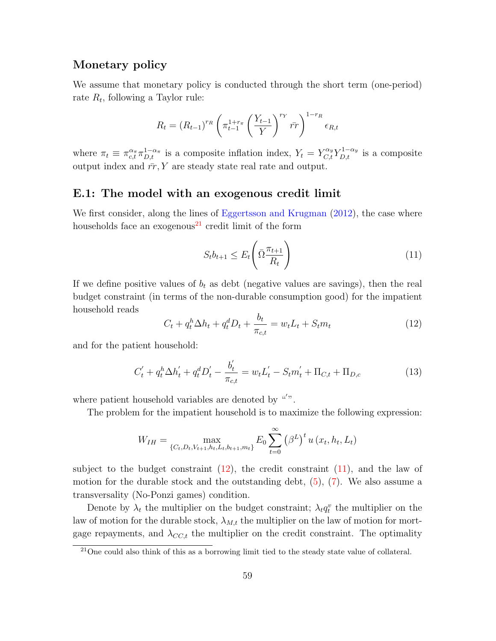### Monetary policy

We assume that monetary policy is conducted through the short term (one-period) rate  $R_t$ , following a Taylor rule:

$$
R_t = (R_{t-1})^{r_R} \left(\pi_{t-1}^{1+r_{\pi}} \left(\frac{Y_{t-1}}{Y}\right)^{r_Y} r\right)^{1-r_R} \epsilon_{R,t}
$$

where  $\pi_t \equiv \pi_{c,t}^{\alpha_{\pi}} \pi_{D,t}^{1-\alpha_{\pi}}$  is a composite inflation index,  $Y_t = Y_{C,t}^{\alpha_y} Y_{D,t}^{1-\alpha_y}$  is a composite output index and  $\bar{rr}$ , Y are steady state real rate and output.

### E.1: The model with an exogenous credit limit

We first consider, along the lines of [Eggertsson and Krugman](#page-40-2) [\(2012\)](#page-40-2), the case where households face an exogenous<sup>[21](#page-58-0)</sup> credit limit of the form

<span id="page-58-2"></span>
$$
S_t b_{t+1} \le E_t \left( \bar{\Omega} \frac{\pi_{t+1}}{R_t} \right) \tag{11}
$$

If we define positive values of  $b_t$  as debt (negative values are savings), then the real budget constraint (in terms of the non-durable consumption good) for the impatient household reads

<span id="page-58-1"></span>
$$
C_t + q_t^h \Delta h_t + q_t^d D_t + \frac{b_t}{\pi_{c,t}} = w_t L_t + S_t m_t
$$
\n(12)

and for the patient household:

<span id="page-58-3"></span>
$$
C'_{t} + q_{t}^{h} \Delta h'_{t} + q_{t}^{d} D'_{t} - \frac{b'_{t}}{\pi_{c,t}} = w_{t} L'_{t} - S_{t} m'_{t} + \Pi_{C,t} + \Pi_{D,c}
$$
\n(13)

where patient household variables are denoted by  $\alpha''$ .

The problem for the impatient household is to maximize the following expression:

$$
W_{IH} = \max_{\{C_t, D_t, V_{t+1}, h_t, L_t, b_{t+1}, m_t\}} E_0 \sum_{t=0}^{\infty} (\beta^L)^t u(x_t, h_t, L_t)
$$

subject to the budget constraint  $(12)$ , the credit constraint  $(11)$ , and the law of motion for the durable stock and the outstanding debt,  $(5)$ ,  $(7)$ . We also assume a transversality (No-Ponzi games) condition.

Denote by  $\lambda_t$  the multiplier on the budget constraint;  $\lambda_t q_t^v$  the multiplier on the law of motion for the durable stock,  $\lambda_{M,t}$  the multiplier on the law of motion for mortgage repayments, and  $\lambda_{CC,t}$  the multiplier on the credit constraint. The optimality

<span id="page-58-0"></span><sup>21</sup>One could also think of this as a borrowing limit tied to the steady state value of collateral.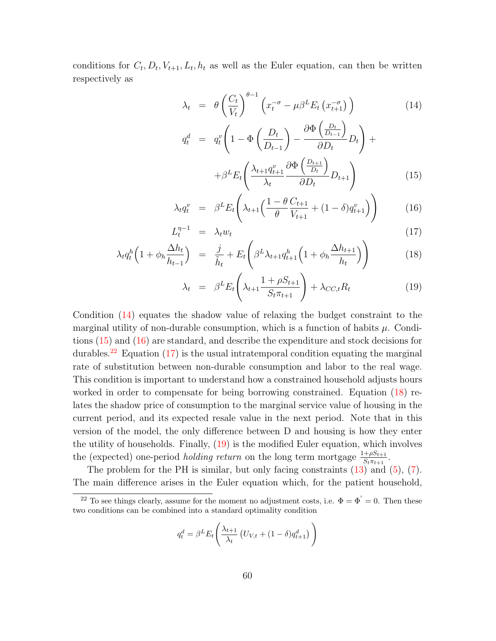conditions for  $C_t$ ,  $D_t$ ,  $V_{t+1}$ ,  $L_t$ ,  $h_t$  as well as the Euler equation, can then be written respectively as

<span id="page-59-0"></span>
$$
\lambda_t = \theta \left( \frac{C_t}{V_t} \right)^{\theta - 1} \left( x_t^{-\sigma} - \mu \beta^L E_t \left( x_{t+1}^{-\sigma} \right) \right) \tag{14}
$$

$$
q_t^d = q_t^v \left( 1 - \Phi \left( \frac{D_t}{D_{t-1}} \right) - \frac{\partial \Phi \left( \frac{D_t}{D_{t-1}} \right)}{\partial D_t} D_t \right) +
$$

$$
+ \beta^L E_t \left( \frac{\lambda_{t+1} q_{t+1}^v}{\lambda_t} \frac{\partial \Phi \left( \frac{D_{t+1}}{D_t} \right)}{\partial D_t} D_{t+1} \right)
$$
(15)

$$
\lambda_t q_t^v = \beta^L E_t \left( \lambda_{t+1} \left( \frac{1 - \theta}{\theta} \frac{C_{t+1}}{V_{t+1}} + (1 - \delta) q_{t+1}^v \right) \right) \tag{16}
$$

$$
L_t^{\eta-1} = \lambda_t w_t \tag{17}
$$

$$
\lambda_t q_t^h \left( 1 + \phi_h \frac{\Delta h_t}{h_{t-1}} \right) = \frac{j}{\tilde{h}_t} + E_t \left( \beta^L \lambda_{t+1} q_{t+1}^h \left( 1 + \phi_h \frac{\Delta h_{t+1}}{h_t} \right) \right)
$$
(18)

$$
\lambda_t = \beta^L E_t \left( \lambda_{t+1} \frac{1 + \rho S_{t+1}}{S_t \pi_{t+1}} \right) + \lambda_{CC,t} R_t \tag{19}
$$

Condition [\(14\)](#page-59-0) equates the shadow value of relaxing the budget constraint to the marginal utility of non-durable consumption, which is a function of habits  $\mu$ . Conditions [\(15\)](#page-59-0) and [\(16\)](#page-59-0) are standard, and describe the expenditure and stock decisions for durables.<sup>[22](#page-59-1)</sup> Equation  $(17)$  is the usual intratemporal condition equating the marginal rate of substitution between non-durable consumption and labor to the real wage. This condition is important to understand how a constrained household adjusts hours worked in order to compensate for being borrowing constrained. Equation [\(18\)](#page-59-0) relates the shadow price of consumption to the marginal service value of housing in the current period, and its expected resale value in the next period. Note that in this version of the model, the only difference between D and housing is how they enter the utility of households. Finally, [\(19\)](#page-59-0) is the modified Euler equation, which involves the (expected) one-period *holding return* on the long term mortgage  $\frac{1+\rho S_{t+1}}{S_t \pi_{t+1}}$ .

The problem for the PH is similar, but only facing constraints  $(13)$  and  $(5)$ ,  $(7)$ . The main difference arises in the Euler equation which, for the patient household,

<span id="page-59-2"></span>
$$
q_t^d = \beta^L E_t \left( \frac{\lambda_{t+1}}{\lambda_t} \left( U_{V,t} + (1 - \delta) q_{t+1}^d \right) \right)
$$

<span id="page-59-1"></span><sup>&</sup>lt;sup>22</sup> To see things clearly, assume for the moment no adjustment costs, i.e.  $\Phi = \Phi' = 0$ . Then these two conditions can be combined into a standard optimality condition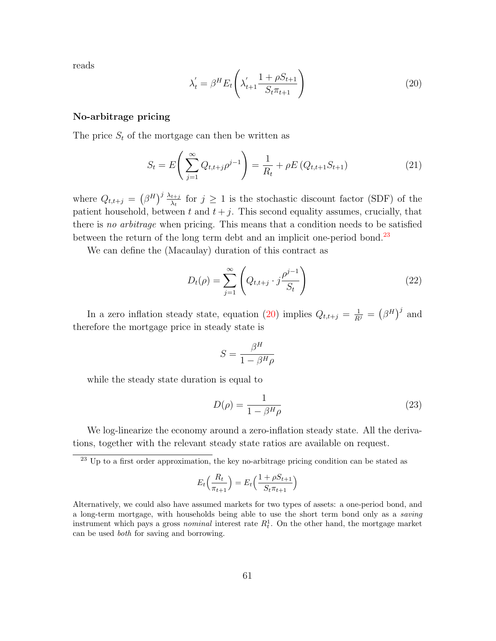reads

$$
\lambda_t' = \beta^H E_t \left( \lambda_{t+1}' \frac{1 + \rho S_{t+1}}{S_t \pi_{t+1}} \right) \tag{20}
$$

#### No-arbitrage pricing

The price  $S_t$  of the mortgage can then be written as

$$
S_t = E\left(\sum_{j=1}^{\infty} Q_{t,t+j} \rho^{j-1}\right) = \frac{1}{R_t} + \rho E\left(Q_{t,t+1} S_{t+1}\right)
$$
(21)

where  $Q_{t,t+j} = (\beta^H)^j \frac{\lambda_{t+j}}{\lambda_t}$  for  $j \ge 1$  is the stochastic discount factor (SDF) of the patient household, between t and  $t + j$ . This second equality assumes, crucially, that there is no arbitrage when pricing. This means that a condition needs to be satisfied between the return of the long term debt and an implicit one-period bond.<sup>[23](#page-60-0)</sup>

We can define the (Macaulay) duration of this contract as

$$
D_t(\rho) = \sum_{j=1}^{\infty} \left( Q_{t,t+j} \cdot j \frac{\rho^{j-1}}{S_t} \right) \tag{22}
$$

In a zero inflation steady state, equation [\(20\)](#page-59-2) implies  $Q_{t,t+j} = \frac{1}{R^j} = (\beta^H)^j$  and therefore the mortgage price in steady state is

$$
S = \frac{\beta^H}{1 - \beta^H \rho}
$$

while the steady state duration is equal to

$$
D(\rho) = \frac{1}{1 - \beta^H \rho} \tag{23}
$$

We log-linearize the economy around a zero-inflation steady state. All the derivations, together with the relevant steady state ratios are available on request.

<span id="page-60-0"></span> $^{23}$  Up to a first order approximation, the key no-arbitrage pricing condition can be stated as

$$
E_t\left(\frac{R_t}{\pi_{t+1}}\right) = E_t\left(\frac{1 + \rho S_{t+1}}{S_t \pi_{t+1}}\right)
$$

Alternatively, we could also have assumed markets for two types of assets: a one-period bond, and a long-term mortgage, with households being able to use the short term bond only as a saving instrument which pays a gross *nominal* interest rate  $R_t^1$ . On the other hand, the mortgage market can be used both for saving and borrowing.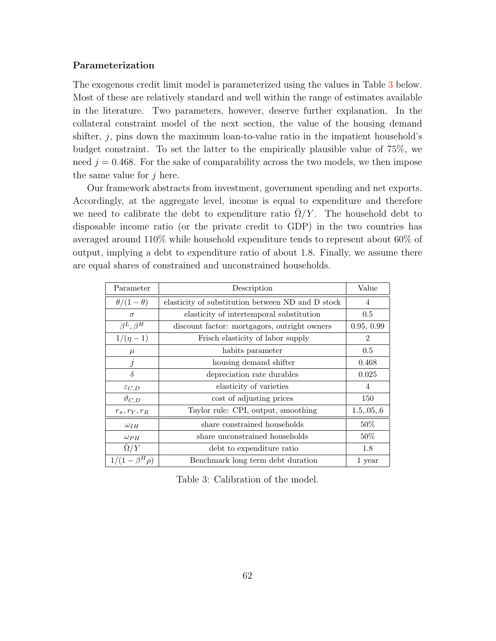#### Parameterization

The exogenous credit limit model is parameterized using the values in Table [3](#page-61-0) below. Most of these are relatively standard and well within the range of estimates available in the literature. Two parameters, however, deserve further explanation. In the collateral constraint model of the next section, the value of the housing demand shifter,  $j$ , pins down the maximum loan-to-value ratio in the impatient household's budget constraint. To set the latter to the empirically plausible value of 75%, we need  $j = 0.468$ . For the sake of comparability across the two models, we then impose the same value for  $j$  here.

Our framework abstracts from investment, government spending and net exports. Accordingly, at the aggregate level, income is equal to expenditure and therefore we need to calibrate the debt to expenditure ratio  $\overline{\Omega}/Y$ . The household debt to disposable income ratio (or the private credit to GDP) in the two countries has averaged around 110% while household expenditure tends to represent about 60% of output, implying a debt to expenditure ratio of about 1.8. Finally, we assume there are equal shares of constrained and unconstrained households.

| Parameter               | Description                                       | Value        |
|-------------------------|---------------------------------------------------|--------------|
| $\theta/(1-\theta)$     | elasticity of substitution between ND and D stock | 4            |
| $\sigma$                | elasticity of intertemporal substitution          | 0.5          |
| $\beta^L, \beta^H$      | discount factor: mortgagors, outright owners      | 0.95, 0.99   |
| $1/(\eta - 1)$          | Frisch elasticity of labor supply                 | 2            |
| $\mu$                   | habits parameter                                  | 0.5          |
| j                       | housing demand shifter                            | 0.468        |
| $\delta$                | depreciation rate durables                        | 0.025        |
| $\varepsilon_{C,D}$     | elasticity of varieties                           | 4            |
| $\vartheta_{C,D}$       | cost of adjusting prices                          | 150          |
| $r_{\pi}, r_{Y}, r_{R}$ | Taylor rule: CPI, output, smoothing               | 1.5, .05, .6 |
| $\omega_{IH}$           | share constrained households                      | 50%          |
| $\omega_{PH}$           | share unconstrained households                    | $50\%$       |
| $\bar{\Omega}/Y$        | debt to expenditure ratio                         | 1.8          |
| $1/(1-\beta^H\rho)$     | Benchmark long term debt duration                 | 1 year       |

<span id="page-61-0"></span>Table 3: Calibration of the model.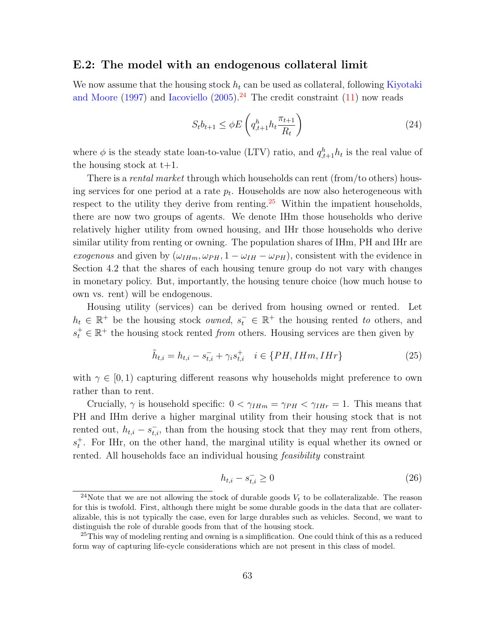#### E.2: The model with an endogenous collateral limit

We now assume that the housing stock  $h_t$  can be used as collateral, following [Kiyotaki](#page-41-2) [and Moore](#page-41-2) [\(1997\)](#page-41-2) and [Iacoviello](#page-40-1) [\(2005\)](#page-40-1).<sup>[24](#page-62-0)</sup> The credit constraint [\(11\)](#page-58-2) now reads

$$
S_t b_{t+1} \le \phi E\left(q_{t+1}^h h_t \frac{\pi_{t+1}}{R_t}\right) \tag{24}
$$

where  $\phi$  is the steady state loan-to-value (LTV) ratio, and  $q_{,t+1}^h h_t$  is the real value of the housing stock at  $t+1$ .

There is a *rental market* through which households can rent (from/to others) housing services for one period at a rate  $p_t$ . Households are now also heterogeneous with respect to the utility they derive from renting.<sup>[25](#page-62-1)</sup> Within the impatient households, there are now two groups of agents. We denote IHm those households who derive relatively higher utility from owned housing, and IHr those households who derive similar utility from renting or owning. The population shares of IHm, PH and IHr are exogenous and given by  $(\omega_{IHm}, \omega_{PH}, 1 - \omega_{IH} - \omega_{PH}),$  consistent with the evidence in Section 4.2 that the shares of each housing tenure group do not vary with changes in monetary policy. But, importantly, the housing tenure choice (how much house to own vs. rent) will be endogenous.

Housing utility (services) can be derived from housing owned or rented. Let  $h_t \in \mathbb{R}^+$  be the housing stock *owned*,  $s_t^- \in \mathbb{R}^+$  the housing rented to others, and  $s_t^+ \in \mathbb{R}^+$  the housing stock rented *from* others. Housing services are then given by

$$
\tilde{h}_{t,i} = h_{t,i} - s_{t,i}^- + \gamma_i s_{t,i}^+ \quad i \in \{PH, IHm, IHr\}
$$
\n(25)

with  $\gamma \in [0, 1)$  capturing different reasons why households might preference to own rather than to rent.

Crucially,  $\gamma$  is household specific:  $0 < \gamma_{I H m} = \gamma_{P H} < \gamma_{I H r} = 1$ . This means that PH and IHm derive a higher marginal utility from their housing stock that is not rented out,  $h_{t,i} - s_{t,i}$ , than from the housing stock that they may rent from others,  $s_t^+$ . For IHr, on the other hand, the marginal utility is equal whether its owned or rented. All households face an individual housing *feasibility* constraint

<span id="page-62-2"></span>
$$
h_{t,i} - s_{t,i}^{-} \ge 0 \tag{26}
$$

<span id="page-62-0"></span><sup>&</sup>lt;sup>24</sup>Note that we are not allowing the stock of durable goods  $V_t$  to be collateralizable. The reason for this is twofold. First, although there might be some durable goods in the data that are collateralizable, this is not typically the case, even for large durables such as vehicles. Second, we want to distinguish the role of durable goods from that of the housing stock.

<span id="page-62-1"></span><sup>&</sup>lt;sup>25</sup>This way of modeling renting and owning is a simplification. One could think of this as a reduced form way of capturing life-cycle considerations which are not present in this class of model.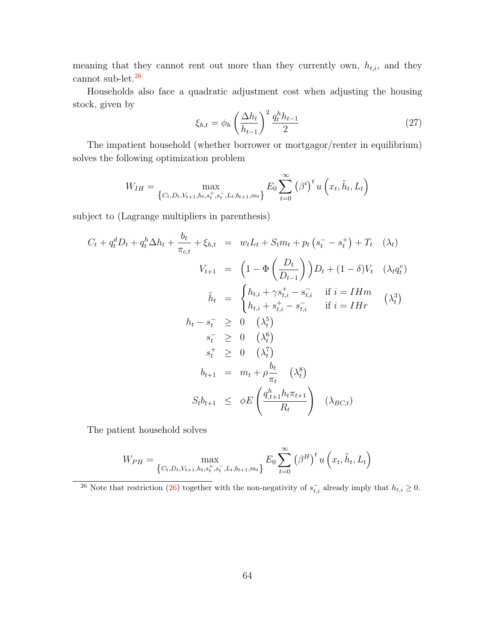meaning that they cannot rent out more than they currently own,  $h_{t,i}$ , and they cannot sub-let. $26$ 

Households also face a quadratic adjustment cost when adjusting the housing stock, given by

$$
\xi_{h,t} = \phi_h \left(\frac{\Delta h_t}{h_{t-1}}\right)^2 \frac{q_t^h h_{t-1}}{2} \tag{27}
$$

The impatient household (whether borrower or mortgagor/renter in equilibrium) solves the following optimization problem

$$
W_{IH} = \max_{\{C_t, D_t, V_{t+1}, h_t, s_t^+, s_t^-, L_t, b_{t+1}, m_t\}} E_0 \sum_{t=0}^{\infty} (\beta^i)^t u(x_t, \tilde{h}_t, L_t)
$$

subject to (Lagrange multipliers in parenthesis)

$$
C_t + q_t^d D_t + q_t^h \Delta h_t + \frac{b_t}{\pi_{c,t}} + \xi_{h,t} = w_t L_t + S_t m_t + p_t (s_t^- - s_t^+) + T_t \quad (\lambda_t)
$$
  

$$
V_{t+1} = \left(1 - \Phi\left(\frac{D_t}{D_{t-1}}\right)\right) D_t + (1 - \delta) V_t \quad (\lambda_t q_t^v)
$$
  

$$
\tilde{h}_t = \begin{cases} h_{t,i} + \gamma s_{t,i}^+ - s_{t,i}^- & \text{if } i = Hm \\ h_{t,i} + s_{t,i}^+ - s_{t,i}^- & \text{if } i = Hr \end{cases} \quad (\lambda_t^3)
$$
  

$$
h_t - s_t^- \geq 0 \quad (\lambda_t^5)
$$
  

$$
s_t^+ \geq 0 \quad (\lambda_t^7)
$$
  

$$
b_{t+1} = m_t + \rho \frac{b_t}{\pi_t} \quad (\lambda_t^8)
$$
  

$$
S_t b_{t+1} \leq \phi E\left(\frac{q_{t,t+1}^h h_t \pi_{t+1}}{R_t}\right) \quad (\lambda_{BC,t})
$$

The patient household solves

$$
W_{PH} = \max_{\{C_t, D_t, V_{t+1}, h_t, s_t^+, s_t^-, L_t, b_{t+1}, m_t\}} E_0 \sum_{t=0}^{\infty} (\beta^H)^t u\left(x_t, \tilde{h}_t, L_t\right)
$$

<span id="page-63-0"></span><sup>&</sup>lt;sup>26</sup> Note that restriction [\(26\)](#page-62-2) together with the non-negativity of  $s_{t,i}^-$  already imply that  $h_{t,i} \geq 0$ .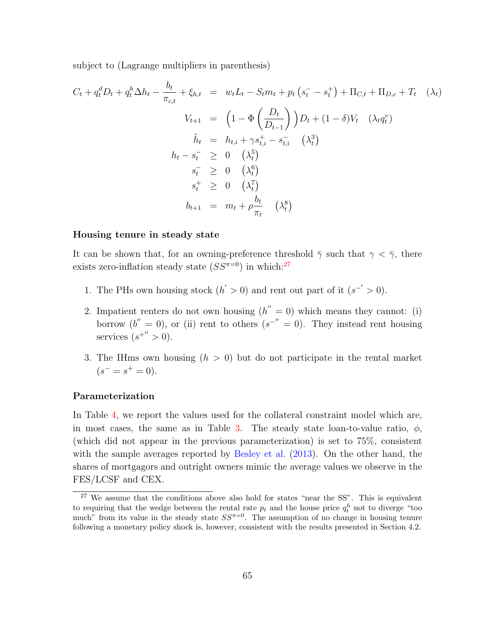subject to (Lagrange multipliers in parenthesis)

$$
C_{t} + q_{t}^{d}D_{t} + q_{t}^{h}\Delta h_{t} - \frac{b_{t}}{\pi_{c,t}} + \xi_{h,t} = w_{t}L_{t} - S_{t}m_{t} + p_{t}(s_{t}^{-} - s_{t}^{+}) + \Pi_{C,t} + \Pi_{D,c} + T_{t} \quad (\lambda_{t})
$$

$$
V_{t+1} = \left(1 - \Phi\left(\frac{D_{t}}{D_{t-1}}\right)\right)D_{t} + (1 - \delta)V_{t} \quad (\lambda_{t}q_{t}^{v})
$$

$$
\tilde{h}_{t} = h_{t,i} + \gamma s_{t,i}^{+} - s_{t,i}^{-} \quad (\lambda_{t}^{3})
$$

$$
h_{t} - s_{t}^{-} \geq 0 \quad (\lambda_{t}^{5})
$$

$$
s_{t}^{-} \geq 0 \quad (\lambda_{t}^{6})
$$

$$
s_{t}^{+} \geq 0 \quad (\lambda_{t}^{7})
$$

$$
b_{t+1} = m_{t} + \rho \frac{b_{t}}{\pi_{t}} \quad (\lambda_{t}^{8})
$$

#### Housing tenure in steady state

It can be shown that, for an owning-preference threshold  $\bar{\gamma}$  such that  $\gamma < \bar{\gamma}$ , there exists zero-inflation steady state  $(SS^{\pi=0})$  in which:<sup>[27](#page-64-0)</sup>

- 1. The PHs own housing stock  $(h' > 0)$  and rent out part of it  $(s^{-'} > 0)$ .
- 2. Impatient renters do not own housing  $(h'' = 0)$  which means they cannot: (i) borrow  $(b'' = 0)$ , or (ii) rent to others  $(s^{-''} = 0)$ . They instead rent housing services  $(s^{+''} > 0)$ .
- 3. The IHms own housing  $(h > 0)$  but do not participate in the rental market  $(s^- = s^+ = 0).$

#### Parameterization

In Table [4,](#page-65-0) we report the values used for the collateral constraint model which are, in most cases, the same as in Table [3.](#page-61-0) The steady state loan-to-value ratio,  $\phi$ , (which did not appear in the previous parameterization) is set to 75%, consistent with the sample averages reported by [Besley et al.](#page-39-11)  $(2013)$ . On the other hand, the shares of mortgagors and outright owners mimic the average values we observe in the FES/LCSF and CEX.

<span id="page-64-0"></span> $27$  We assume that the conditions above also hold for states "near the SS". This is equivalent to requiring that the wedge between the rental rate  $p_t$  and the house price  $q_t^h$  not to diverge "too much" from its value in the steady state  $SS^{\pi=0}$ . The assumption of no change in housing tenure following a monetary policy shock is, however, consistent with the results presented in Section 4.2.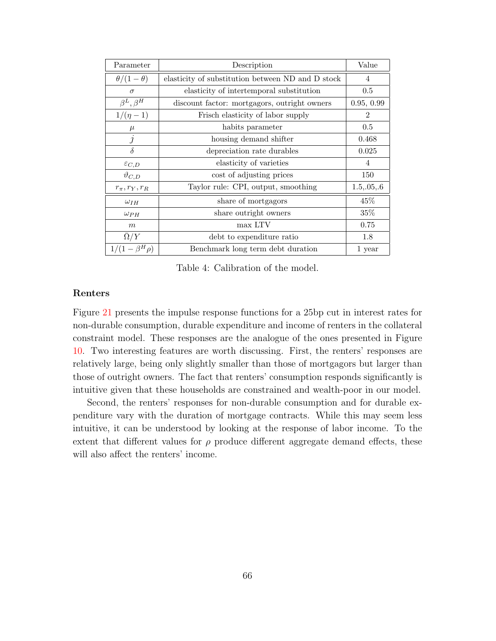| Parameter               | Description                                       | Value          |
|-------------------------|---------------------------------------------------|----------------|
| $\theta/(1-\theta)$     | elasticity of substitution between ND and D stock | 4              |
| $\sigma$                | elasticity of intertemporal substitution          | 0.5            |
| $\beta^L, \beta^H$      | discount factor: mortgagors, outright owners      | 0.95, 0.99     |
| $1/(\eta - 1)$          | Frisch elasticity of labor supply                 | $\overline{2}$ |
| $\mu$                   | habits parameter                                  | 0.5            |
| $\dot{j}$               | housing demand shifter                            | 0.468          |
| $\delta$                | depreciation rate durables                        | 0.025          |
| $\varepsilon_{C,D}$     | elasticity of varieties                           | 4              |
| $\vartheta_{C,D}$       | cost of adjusting prices                          | 150            |
| $r_{\pi}, r_{Y}, r_{R}$ | Taylor rule: CPI, output, smoothing               | 1.5, .05, .6   |
| $\omega_{IH}$           | share of mortgagors                               | 45%            |
| $\omega_{PH}$           | share outright owners                             | $35\%$         |
| m                       | max LTV                                           | 0.75           |
| $\bar{\Omega}/Y$        | debt to expenditure ratio                         | 1.8            |
| $1/(1-\beta^H\rho)$     | Benchmark long term debt duration                 | 1 year         |

<span id="page-65-0"></span>Table 4: Calibration of the model.

#### Renters

Figure [21](#page-66-0) presents the impulse response functions for a 25bp cut in interest rates for non-durable consumption, durable expenditure and income of renters in the collateral constraint model. These responses are the analogue of the ones presented in Figure [10.](#page-38-0) Two interesting features are worth discussing. First, the renters' responses are relatively large, being only slightly smaller than those of mortgagors but larger than those of outright owners. The fact that renters' consumption responds significantly is intuitive given that these households are constrained and wealth-poor in our model.

Second, the renters' responses for non-durable consumption and for durable expenditure vary with the duration of mortgage contracts. While this may seem less intuitive, it can be understood by looking at the response of labor income. To the extent that different values for  $\rho$  produce different aggregate demand effects, these will also affect the renters' income.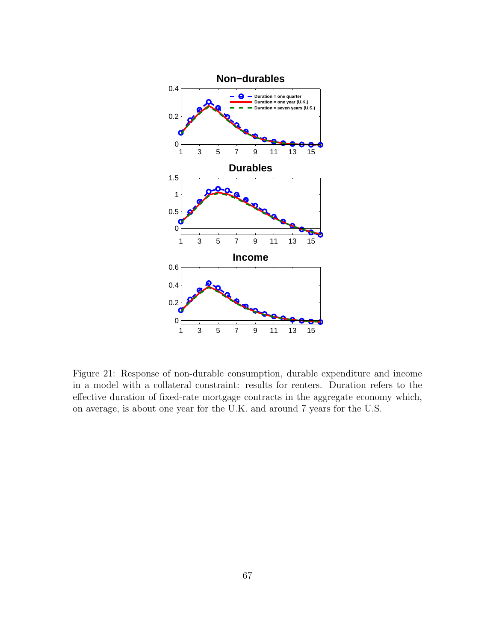

<span id="page-66-0"></span>Figure 21: Response of non-durable consumption, durable expenditure and income in a model with a collateral constraint: results for renters. Duration refers to the effective duration of fixed-rate mortgage contracts in the aggregate economy which, on average, is about one year for the U.K. and around 7 years for the U.S.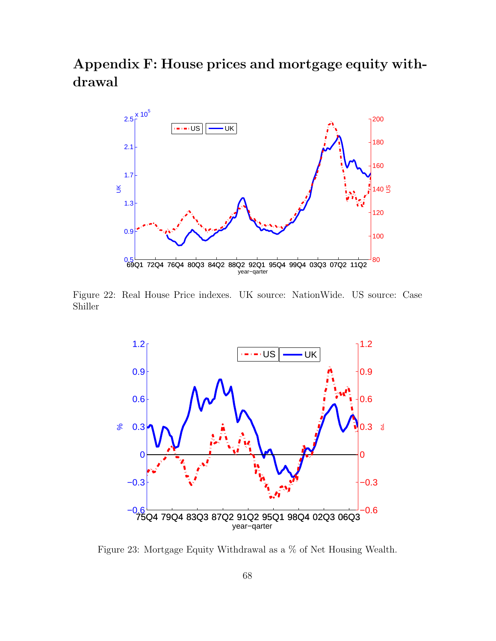Appendix F: House prices and mortgage equity withdrawal



Figure 22: Real House Price indexes. UK source: NationWide. US source: Case Shiller



Figure 23: Mortgage Equity Withdrawal as a  $\%$  of Net Housing Wealth.